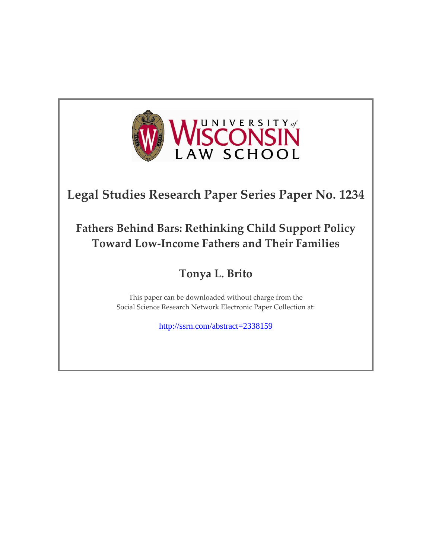

# **Legal Studies Research Paper Series Paper No. 1234**

# **Fathers Behind Bars: Rethinking Child Support Policy Toward Low-Income Fathers and Their Families**

## **Tonya L. Brito**

This paper can be downloaded without charge from the Social Science Research Network Electronic Paper Collection at:

<http://ssrn.com/abstract=2338159>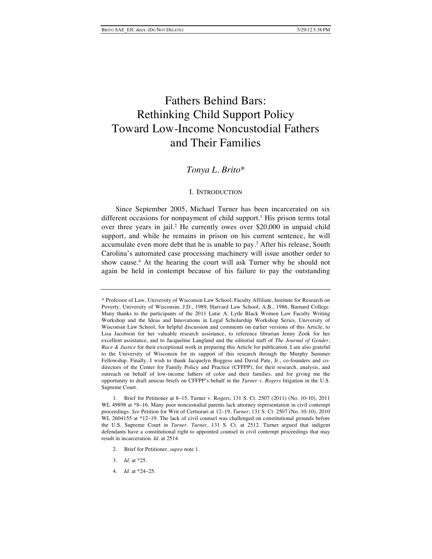## Fathers Behind Bars: Rethinking Child Support Policy Toward Low-Income Noncustodial Fathers and Their Families

## *Tonya L. Brito*\*

#### I. INTRODUCTION

Since September 2005, Michael Turner has been incarcerated on six different occasions for nonpayment of child support.<sup>1</sup> His prison terms total over three years in jail.2 He currently owes over \$20,000 in unpaid child support, and while he remains in prison on his current sentence, he will accumulate even more debt that he is unable to pay.3 After his release, South Carolina's automated case processing machinery will issue another order to show cause.4 At the hearing the court will ask Turner why he should not again be held in contempt because of his failure to pay the outstanding

- 2. Brief for Petitioner, *supra* note 1.
- 3. *Id.* at \*25.
- 4. *Id*. at \*24–25.

<sup>\*</sup> Professor of Law, University of Wisconsin Law School; Faculty Affiliate, Institute for Research on Poverty, University of Wisconsin; J.D., 1989, Harvard Law School; A.B., 1986, Barnard College. Many thanks to the participants of the 2011 Lutie A. Lytle Black Women Law Faculty Writing Workshop and the Ideas and Innovations in Legal Scholarship Workshop Series, University of Wisconsin Law School, for helpful discussion and comments on earlier versions of this Article, to Lisa Jacobson for her valuable research assistance, to reference librarian Jenny Zook for her excellent assistance, and to Jacqueline Langland and the editorial staff of *The Journal of Gender, Race & Justice* for their exceptional work in preparing this Article for publication. I am also grateful to the University of Wisconsin for its support of this research through the Murphy Summer Fellowship. Finally, I wish to thank Jacquelyn Boggess and David Pate, Jr., co-founders and codirectors of the Center for Family Policy and Practice (CFFPP), for their research, analysis, and outreach on behalf of low-income fathers of color and their families, and for giving me the opportunity to draft amicus briefs on CFFPP's behalf in the *Turner v. Rogers* litigation in the U.S. Supreme Court.

<sup>1.</sup> Brief for Petitioner at 8–15, Turner v. Rogers, 131 S. Ct. 2507 (2011) (No. 10-10), 2011 WL 49898 at \*8–16. Many poor noncustodial parents lack attorney representation in civil contempt proceedings. *See* Petition for Writ of Certiorari at 12–19, *Turner*, 131 S. Ct. 2507 (No. 10-10), 2010 WL 2604155 at \*12-19. The lack of civil counsel was challenged on constitutional grounds before the U.S. Supreme Court in *Turner*. *Turner*, 131 S. Ct. at 2512. Turner argued that indigent defendants have a constitutional right to appointed counsel in civil contempt proceedings that may result in incarceration. *Id*. at 2514.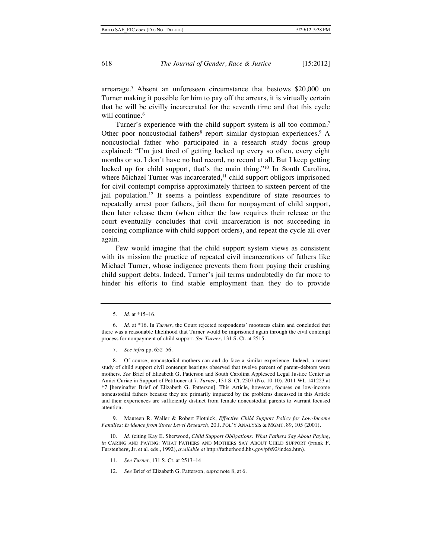arrearage.5 Absent an unforeseen circumstance that bestows \$20,000 on Turner making it possible for him to pay off the arrears, it is virtually certain that he will be civilly incarcerated for the seventh time and that this cycle will continue.<sup>6</sup>

Turner's experience with the child support system is all too common.7 Other poor noncustodial fathers<sup>8</sup> report similar dystopian experiences.<sup>9</sup> A noncustodial father who participated in a research study focus group explained: "I'm just tired of getting locked up every so often, every eight months or so. I don't have no bad record, no record at all. But I keep getting locked up for child support, that's the main thing."10 In South Carolina, where Michael Turner was incarcerated, $11$  child support obligors imprisoned for civil contempt comprise approximately thirteen to sixteen percent of the jail population.12 It seems a pointless expenditure of state resources to repeatedly arrest poor fathers, jail them for nonpayment of child support, then later release them (when either the law requires their release or the court eventually concludes that civil incarceration is not succeeding in coercing compliance with child support orders), and repeat the cycle all over again.

Few would imagine that the child support system views as consistent with its mission the practice of repeated civil incarcerations of fathers like Michael Turner, whose indigence prevents them from paying their crushing child support debts. Indeed, Turner's jail terms undoubtedly do far more to hinder his efforts to find stable employment than they do to provide

8. Of course, noncustodial mothers can and do face a similar experience. Indeed, a recent study of child support civil contempt hearings observed that twelve percent of parent–debtors were mothers. *See* Brief of Elizabeth G. Patterson and South Carolina Appleseed Legal Justice Center as Amici Curiae in Support of Petitioner at 7, *Turner*, 131 S. Ct. 2507 (No. 10-10), 2011 WL 141223 at \*7 [hereinafter Brief of Elizabeth G. Patterson]. This Article, however, focuses on low-income noncustodial fathers because they are primarily impacted by the problems discussed in this Article and their experiences are sufficiently distinct from female noncustodial parents to warrant focused attention.

9. Maureen R. Waller & Robert Plotnick, *Effective Child Support Policy for Low-Income Families: Evidence from Street Level Research*, 20 J. POL'Y ANALYSIS & MGMT. 89, 105 (2001).

10. *Id.* (citing Kay E. Sherwood, *Child Support Obligations: What Fathers Say About Paying*, *in* CARING AND PAYING: WHAT FATHERS AND MOTHERS SAY ABOUT CHILD SUPPORT (Frank F. Furstenberg, Jr. et al. eds., 1992), *available at* http://fatherhood.hhs.gov/pfs92/index.htm).

- 11. *See Turner*, 131 S. Ct. at 2513–14.
- 12. *See* Brief of Elizabeth G. Patterson, *supra* note 8, at 6.

<sup>5.</sup> *Id*. at \*15–16.

<sup>6.</sup> *Id.* at \*16*.* In *Turner*, the Court rejected respondents' mootness claim and concluded that there was a reasonable likelihood that Turner would be imprisoned again through the civil contempt process for nonpayment of child support. *See Turner*, 131 S. Ct. at 2515.

<sup>7.</sup> *See infra* pp. 652–56.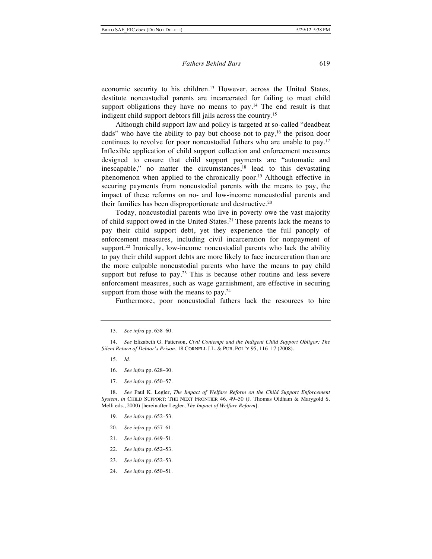economic security to his children.<sup>13</sup> However, across the United States, destitute noncustodial parents are incarcerated for failing to meet child support obligations they have no means to pay.<sup>14</sup> The end result is that indigent child support debtors fill jails across the country.15

Although child support law and policy is targeted at so-called "deadbeat dads" who have the ability to pay but choose not to pay, <sup>16</sup> the prison door continues to revolve for poor noncustodial fathers who are unable to pay.17 Inflexible application of child support collection and enforcement measures designed to ensure that child support payments are "automatic and inescapable," no matter the circumstances, $18$  lead to this devastating phenomenon when applied to the chronically poor.19 Although effective in securing payments from noncustodial parents with the means to pay, the impact of these reforms on no- and low-income noncustodial parents and their families has been disproportionate and destructive.20

Today, noncustodial parents who live in poverty owe the vast majority of child support owed in the United States.21 These parents lack the means to pay their child support debt, yet they experience the full panoply of enforcement measures, including civil incarceration for nonpayment of support.<sup>22</sup> Ironically, low-income noncustodial parents who lack the ability to pay their child support debts are more likely to face incarceration than are the more culpable noncustodial parents who have the means to pay child support but refuse to pay.<sup>23</sup> This is because other routine and less severe enforcement measures, such as wage garnishment, are effective in securing support from those with the means to pay.<sup>24</sup>

Furthermore, poor noncustodial fathers lack the resources to hire

- 15. *Id*.
- 16. *See infra* pp. 628–30.
- 17. *See infra* pp. 650–57.

18. *See* Paul K. Legler, *The Impact of Welfare Reform on the Child Support Enforcement System*, *in* CHILD SUPPORT: THE NEXT FRONTIER 46, 49–50 (J. Thomas Oldham & Marygold S. Melli eds., 2000) [hereinafter Legler, *The Impact of Welfare Reform*].

- 19. *See infra* pp. 652–53.
- 20. *See infra* pp. 657–61.
- 21. *See infra* pp. 649–51.
- 22. *See infra* pp*.* 652–53.
- 23. *See infra* pp. 652–53.
- 24. *See infra* pp. 650–51.

<sup>13.</sup> *See infra* pp. 658–60.

<sup>14.</sup> *See* Elizabeth G. Patterson, *Civil Contempt and the Indigent Child Support Obligor: The Silent Return of Debtor's Prison*, 18 CORNELL J.L. & PUB. POL'Y 95, 116–17 (2008).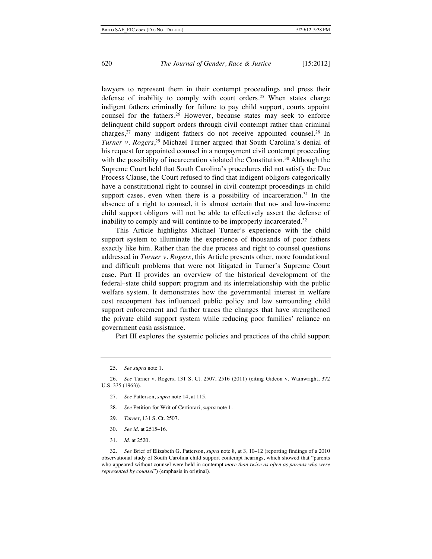lawyers to represent them in their contempt proceedings and press their defense of inability to comply with court orders.25 When states charge indigent fathers criminally for failure to pay child support, courts appoint counsel for the fathers.<sup>26</sup> However, because states may seek to enforce delinquent child support orders through civil contempt rather than criminal charges,27 many indigent fathers do not receive appointed counsel.28 In *Turner v. Rogers*, 29 Michael Turner argued that South Carolina's denial of his request for appointed counsel in a nonpayment civil contempt proceeding with the possibility of incarceration violated the Constitution.<sup>30</sup> Although the Supreme Court held that South Carolina's procedures did not satisfy the Due Process Clause, the Court refused to find that indigent obligors categorically have a constitutional right to counsel in civil contempt proceedings in child support cases, even when there is a possibility of incarceration.<sup>31</sup> In the absence of a right to counsel, it is almost certain that no- and low-income child support obligors will not be able to effectively assert the defense of inability to comply and will continue to be improperly incarcerated.<sup>32</sup>

This Article highlights Michael Turner's experience with the child support system to illuminate the experience of thousands of poor fathers exactly like him. Rather than the due process and right to counsel questions addressed in *Turner v. Rogers*, this Article presents other, more foundational and difficult problems that were not litigated in Turner's Supreme Court case. Part II provides an overview of the historical development of the federal–state child support program and its interrelationship with the public welfare system. It demonstrates how the governmental interest in welfare cost recoupment has influenced public policy and law surrounding child support enforcement and further traces the changes that have strengthened the private child support system while reducing poor families' reliance on government cash assistance.

Part III explores the systemic policies and practices of the child support

- 27. *See* Patterson, *supra* note 14, at 115.
- 28. *See* Petition for Writ of Certiorari, *supra* note 1.
- 29. *Turne*r, 131 S. Ct. 2507.
- 30. *See id.* at 2515–16.
- 31. *Id.* at 2520.

32. *See* Brief of Elizabeth G. Patterson, *supra* note 8, at 3, 10–12 (reporting findings of a 2010 observational study of South Carolina child support contempt hearings, which showed that "parents who appeared without counsel were held in contempt *more than twice as often as parents who were represented by counsel*") (emphasis in original).

<sup>25.</sup> *See supra* note 1.

<sup>26.</sup> *See* Turner v. Rogers, 131 S. Ct. 2507, 2516 (2011) (citing Gideon v. Wainwright, 372 U.S. 335 (1963)).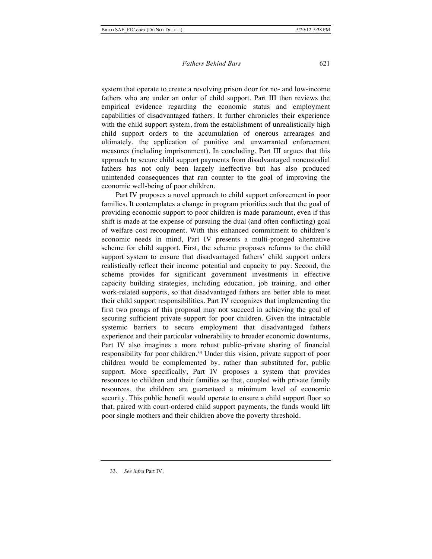system that operate to create a revolving prison door for no- and low-income fathers who are under an order of child support. Part III then reviews the empirical evidence regarding the economic status and employment capabilities of disadvantaged fathers. It further chronicles their experience with the child support system, from the establishment of unrealistically high child support orders to the accumulation of onerous arrearages and ultimately, the application of punitive and unwarranted enforcement measures (including imprisonment). In concluding, Part III argues that this approach to secure child support payments from disadvantaged noncustodial fathers has not only been largely ineffective but has also produced unintended consequences that run counter to the goal of improving the economic well-being of poor children.

Part IV proposes a novel approach to child support enforcement in poor families. It contemplates a change in program priorities such that the goal of providing economic support to poor children is made paramount, even if this shift is made at the expense of pursuing the dual (and often conflicting) goal of welfare cost recoupment. With this enhanced commitment to children's economic needs in mind, Part IV presents a multi-pronged alternative scheme for child support. First, the scheme proposes reforms to the child support system to ensure that disadvantaged fathers' child support orders realistically reflect their income potential and capacity to pay. Second, the scheme provides for significant government investments in effective capacity building strategies, including education, job training, and other work-related supports, so that disadvantaged fathers are better able to meet their child support responsibilities. Part IV recognizes that implementing the first two prongs of this proposal may not succeed in achieving the goal of securing sufficient private support for poor children. Given the intractable systemic barriers to secure employment that disadvantaged fathers experience and their particular vulnerability to broader economic downturns, Part IV also imagines a more robust public–private sharing of financial responsibility for poor children.33 Under this vision, private support of poor children would be complemented by, rather than substituted for, public support. More specifically, Part IV proposes a system that provides resources to children and their families so that, coupled with private family resources, the children are guaranteed a minimum level of economic security. This public benefit would operate to ensure a child support floor so that, paired with court-ordered child support payments, the funds would lift poor single mothers and their children above the poverty threshold.

<sup>33.</sup> *See infra* Part IV.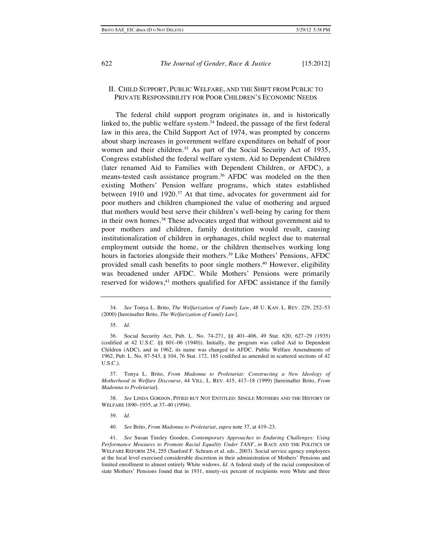## II. CHILD SUPPORT, PUBLIC WELFARE, AND THE SHIFT FROM PUBLIC TO PRIVATE RESPONSIBILITY FOR POOR CHILDREN'S ECONOMIC NEEDS

The federal child support program originates in, and is historically linked to, the public welfare system. $34$  Indeed, the passage of the first federal law in this area, the Child Support Act of 1974, was prompted by concerns about sharp increases in government welfare expenditures on behalf of poor women and their children.<sup>35</sup> As part of the Social Security Act of 1935, Congress established the federal welfare system, Aid to Dependent Children (later renamed Aid to Families with Dependent Children, or AFDC), a means-tested cash assistance program.36 AFDC was modeled on the then existing Mothers' Pension welfare programs, which states established between 1910 and 1920.<sup>37</sup> At that time, advocates for government aid for poor mothers and children championed the value of mothering and argued that mothers would best serve their children's well-being by caring for them in their own homes.<sup>38</sup> These advocates urged that without government aid to poor mothers and children, family destitution would result, causing institutionalization of children in orphanages, child neglect due to maternal employment outside the home, or the children themselves working long hours in factories alongside their mothers.<sup>39</sup> Like Mothers' Pensions, AFDC provided small cash benefits to poor single mothers.40 However, eligibility was broadened under AFDC. While Mothers' Pensions were primarily reserved for widows,<sup>41</sup> mothers qualified for AFDC assistance if the family

<sup>34.</sup> *See* Tonya L. Brito, *The Welfarization of Family Law*, 48 U. KAN. L. REV. 229, 252–53 (2000) [hereinafter Brito, *The Welfarization of Family Law*].

<sup>35.</sup> *Id.*

<sup>36.</sup> Social Security Act, Pub. L. No. 74-271, §§ 401–406, 49 Stat. 620, 627–29 (1935) (codified at 42 U.S.C. §§ 601–06 (1940)). Initially, the program was called Aid to Dependent Children (ADC), and in 1962, its name was changed to AFDC. Public Welfare Amendments of 1962, Pub. L. No. 87-543, § 104, 76 Stat. 172, 185 (codified as amended in scattered sections of 42 U.S.C.).

<sup>37.</sup> Tonya L. Brito, *From Madonna to Proletariat: Constructing a New Ideology of Motherhood in Welfare Discourse*, 44 VILL. L. REV. 415, 417–18 (1999) [hereinafter Brito, *From Madonna to Proletariat*].

<sup>38.</sup> *See* LINDA GORDON, PITIED BUT NOT ENTITLED: SINGLE MOTHERS AND THE HISTORY OF WELFARE 1890–1935, at 37–40 (1994).

<sup>39.</sup> *Id.*

<sup>40.</sup> *See* Brito, *From Madonna to Proletariat*, *supra* note 37, at 419–23.

<sup>41.</sup> *See* Susan Tinsley Gooden, *Contemporary Approaches to Enduring Challenges: Using Performance Measures to Promote Racial Equality Under TANF*, *in* RACE AND THE POLITICS OF WELFARE REFORM 254, 255 (Sanford F. Schram et al. eds., 2003). Social service agency employees at the local level exercised considerable discretion in their administration of Mothers' Pensions and limited enrollment to almost entirely White widows. *Id.* A federal study of the racial composition of state Mothers' Pensions found that in 1931, ninety-six percent of recipients were White and three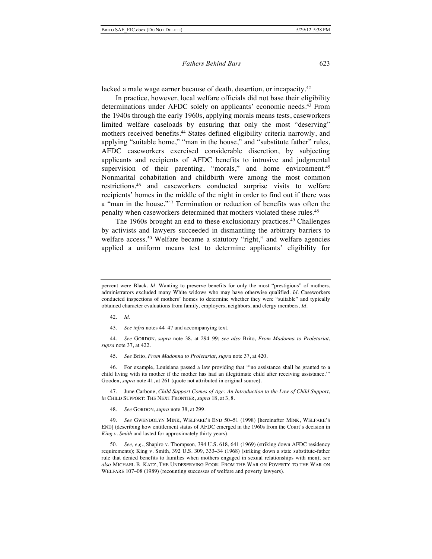lacked a male wage earner because of death, desertion, or incapacity.<sup>42</sup>

In practice, however, local welfare officials did not base their eligibility determinations under AFDC solely on applicants' economic needs.43 From the 1940s through the early 1960s, applying morals means tests, caseworkers limited welfare caseloads by ensuring that only the most "deserving" mothers received benefits.<sup>44</sup> States defined eligibility criteria narrowly, and applying "suitable home," "man in the house," and "substitute father" rules, AFDC caseworkers exercised considerable discretion, by subjecting applicants and recipients of AFDC benefits to intrusive and judgmental supervision of their parenting, "morals," and home environment.<sup>45</sup> Nonmarital cohabitation and childbirth were among the most common restrictions,46 and caseworkers conducted surprise visits to welfare recipients' homes in the middle of the night in order to find out if there was a "man in the house."47 Termination or reduction of benefits was often the penalty when caseworkers determined that mothers violated these rules.48

The 1960s brought an end to these exclusionary practices.49 Challenges by activists and lawyers succeeded in dismantling the arbitrary barriers to welfare access.<sup>50</sup> Welfare became a statutory "right," and welfare agencies applied a uniform means test to determine applicants' eligibility for

- 42. *Id.*
- 43. *See infra* notes 44–47 and accompanying text.

44. *See* GORDON, *supra* note 38, at 294–99; *see also* Brito, *From Madonna to Proletariat*, *supra* note 37, at 422.

45. *See* Brito, *From Madonna to Proletariat*, *supra* note 37, at 420.

46. For example, Louisiana passed a law providing that '"no assistance shall be granted to a child living with its mother if the mother has had an illegitimate child after receiving assistance.'" Gooden, *supra* note 41, at 261 (quote not attributed in original source).

47. June Carbone, *Child Support Comes of Age: An Introduction to the Law of Child Support*, *in* CHILD SUPPORT: THE NEXT FRONTIER, *supra* 18, at 3, 8.

48. *See* GORDON, *supra* note 38, at 299.

49. *See* GWENDOLYN MINK, WELFARE'S END 50–51 (1998) [hereinafter MINK, WELFARE'S END] (describing how entitlement status of AFDC emerged in the 1960s from the Court's decision in *King v. Smith* and lasted for approximately thirty years).

50. *See, e.g.*, Shapiro v. Thompson, 394 U.S. 618, 641 (1969) (striking down AFDC residency requirements); King v. Smith, 392 U.S. 309, 333–34 (1968) (striking down a state substitute-father rule that denied benefits to families when mothers engaged in sexual relationships with men); *see also* MICHAEL B. KATZ, THE UNDESERVING POOR: FROM THE WAR ON POVERTY TO THE WAR ON WELFARE 107–08 (1989) (recounting successes of welfare and poverty lawyers).

percent were Black. *Id*. Wanting to preserve benefits for only the most "prestigious" of mothers, administrators excluded many White widows who may have otherwise qualified. *Id.* Caseworkers conducted inspections of mothers' homes to determine whether they were "suitable" and typically obtained character evaluations from family, employers, neighbors, and clergy members. *Id.*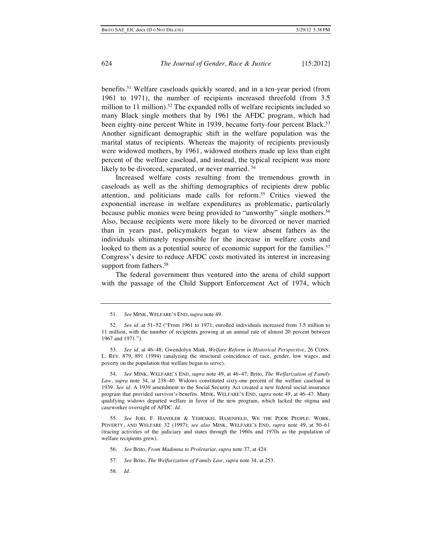benefits.51 Welfare caseloads quickly soared, and in a ten-year period (from 1961 to 1971), the number of recipients increased threefold (from 3.5 million to 11 million).<sup>52</sup> The expanded rolls of welfare recipients included so many Black single mothers that by 1961 the AFDC program, which had been eighty-nine percent White in 1939, became forty-four percent Black.<sup>53</sup> Another significant demographic shift in the welfare population was the marital status of recipients. Whereas the majority of recipients previously were widowed mothers, by 1961, widowed mothers made up less than eight percent of the welfare caseload, and instead, the typical recipient was more likely to be divorced, separated, or never married.<sup>54</sup>

Increased welfare costs resulting from the tremendous growth in caseloads as well as the shifting demographics of recipients drew public attention, and politicians made calls for reform.55 Critics viewed the exponential increase in welfare expenditures as problematic, particularly because public monies were being provided to "unworthy" single mothers.<sup>56</sup> Also, because recipients were more likely to be divorced or never married than in years past, policymakers began to view absent fathers as the individuals ultimately responsible for the increase in welfare costs and looked to them as a potential source of economic support for the families.<sup>57</sup> Congress's desire to reduce AFDC costs motivated its interest in increasing support from fathers.<sup>58</sup>

The federal government thus ventured into the arena of child support with the passage of the Child Support Enforcement Act of 1974, which

54. *See* MINK, WELFARE'S END, *supra* note 49, at 46–47; Brito, *The Welfarization of Family Law*, *supra* note 34, at 238–40. Widows constituted sixty-one percent of the welfare caseload in 1939. *See id.* A 1939 amendment to the Social Security Act created a new federal social insurance program that provided survivor's benefits. MINK, WELFARE'S END, *supra* note 49, at 46–47. Many qualifying widows departed welfare in favor of the new program, which lacked the stigma and caseworker oversight of AFDC. *Id.*

55. *See* JOEL F. HANDLER & YEHESKEL HASENFELD, WE THE POOR PEOPLE: WORK, POVERTY, AND WELFARE 32 (1997); *see also* MINK, WELFARE'S END, *supra* note 49, at 50–61 (tracing activities of the judiciary and states through the 1960s and 1970s as the population of welfare recipients grew).

- 56. *See* Brito, *From Madonna to Proletariat*, *supra* note 37, at 424.
- 57. *See* Brito, *The Welfarization of Family Law*, *supra* note 34, at 253.
- 58. *Id.*

<sup>51.</sup> *See* MINK, WELFARE'S END, *supra* note 49.

<sup>52.</sup> *See id.* at 51–52 ("From 1961 to 1971, enrolled individuals increased from 3.5 million to 11 million, with the number of recipients growing at an annual rate of almost 20 percent between 1967 and 1971.").

<sup>53.</sup> *See id*. at 46–48; Gwendolyn Mink, *Welfare Reform in Historical Perspective*, 26 CONN. L. REV. 879, 891 (1994) (analyzing the structural coincidence of race, gender, low wages, and poverty on the population that welfare began to serve).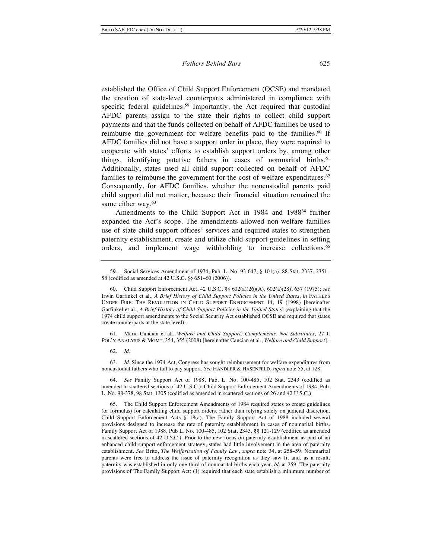established the Office of Child Support Enforcement (OCSE) and mandated the creation of state-level counterparts administered in compliance with specific federal guidelines.<sup>59</sup> Importantly, the Act required that custodial AFDC parents assign to the state their rights to collect child support payments and that the funds collected on behalf of AFDC families be used to reimburse the government for welfare benefits paid to the families.<sup>60</sup> If AFDC families did not have a support order in place, they were required to cooperate with states' efforts to establish support orders by, among other things, identifying putative fathers in cases of nonmarital births.<sup>61</sup> Additionally, states used all child support collected on behalf of AFDC families to reimburse the government for the cost of welfare expenditures.<sup>62</sup> Consequently, for AFDC families, whether the noncustodial parents paid child support did not matter, because their financial situation remained the same either way.<sup>63</sup>

Amendments to the Child Support Act in 1984 and 1988<sup>64</sup> further expanded the Act's scope. The amendments allowed non-welfare families use of state child support offices' services and required states to strengthen paternity establishment, create and utilize child support guidelines in setting orders, and implement wage withholding to increase collections.<sup>65</sup>

61. Maria Cancian et al., *Welfare and Child Support: Complements*, *Not Substitutes,* 27 J. POL'Y ANALYSIS & MGMT. 354, 355 (2008) [hereinafter Cancian et al., *Welfare and Child Support*].

62. *Id.*

63. *Id.* Since the 1974 Act, Congress has sought reimbursement for welfare expenditures from noncustodial fathers who fail to pay support. *See* HANDLER & HASENFELD, *supra* note 55, at 128.

64. *See* Family Support Act of 1988, Pub. L. No. 100-485, 102 Stat. 2343 (codified as amended in scattered sections of 42 U.S.C.); Child Support Enforcement Amendments of 1984, Pub. L. No. 98-378, 98 Stat. 1305 (codified as amended in scattered sections of 26 and 42 U.S.C.).

65. The Child Support Enforcement Amendments of 1984 required states to create guidelines (or formulas) for calculating child support orders, rather than relying solely on judicial discretion. Child Support Enforcement Acts § 18(a). The Family Support Act of 1988 included several provisions designed to increase the rate of paternity establishment in cases of nonmarital births. Family Support Act of 1988, Pub L. No. 100-485, 102 Stat. 2343, §§ 121-129 (codified as amended in scattered sections of 42 U.S.C.). Prior to the new focus on paternity establishment as part of an enhanced child support enforcement strategy, states had little involvement in the area of paternity establishment. *See* Brito, *The Welfarization of Family Law*, *supra* note 34, at 258–59. Nonmarital parents were free to address the issue of paternity recognition as they saw fit and, as a result, paternity was established in only one-third of nonmarital births each year. *Id.* at 259. The paternity provisions of The Family Support Act: (1) required that each state establish a minimum number of

<sup>59.</sup> Social Services Amendment of 1974, Pub. L. No. 93-647, § 101(a), 88 Stat. 2337, 2351– 58 (codified as amended at 42 U.S.C. §§ 651–60 (2006)).

<sup>60.</sup> Child Support Enforcement Act, 42 U.S.C. §§ 602(a)(26)(A), 602(a)(28), 657 (1975); *see* Irwin Garfinkel et al., *A Brief History of Child Support Policies in the United States*, *in* FATHERS UNDER FIRE: THE REVOLUTION IN CHILD SUPPORT ENFORCEMENT 14, 19 (1998) [hereinafter Garfinkel et al., *A Brief History of Child Support Policies in the United States*] (explaining that the 1974 child support amendments to the Social Security Act established OCSE and required that states create counterparts at the state level).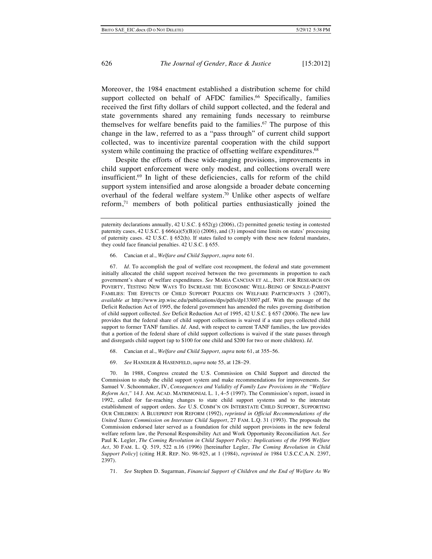Moreover, the 1984 enactment established a distribution scheme for child support collected on behalf of AFDC families.<sup>66</sup> Specifically, families received the first fifty dollars of child support collected, and the federal and state governments shared any remaining funds necessary to reimburse themselves for welfare benefits paid to the families.<sup>67</sup> The purpose of this change in the law, referred to as a "pass through" of current child support collected, was to incentivize parental cooperation with the child support system while continuing the practice of offsetting welfare expenditures.<sup>68</sup>

Despite the efforts of these wide-ranging provisions, improvements in child support enforcement were only modest, and collections overall were insufficient.69 In light of these deficiencies, calls for reform of the child support system intensified and arose alongside a broader debate concerning overhaul of the federal welfare system.<sup>70</sup> Unlike other aspects of welfare reform,71 members of both political parties enthusiastically joined the

66. Cancian et al., *Welfare and Child Support*, *supra* note 61.

67. *Id.* To accomplish the goal of welfare cost recoupment, the federal and state government initially allocated the child support received between the two governments in proportion to each government's share of welfare expenditures. *See* MARIA CANCIAN ET AL., INST. FOR RESEARCH ON POVERTY, TESTING NEW WAYS TO INCREASE THE ECONOMIC WELL-BEING OF SINGLE-PARENT FAMILIES: THE EFFECTS OF CHILD SUPPORT POLICIES ON WELFARE PARTICIPANTS 3 (2007), *available at* http://www.irp.wisc.edu/publications/dps/pdfs/dp133007.pdf. With the passage of the Deficit Reduction Act of 1995, the federal government has amended the rules governing distribution of child support collected. *See* Deficit Reduction Act of 1995, 42 U.S.C. § 657 (2006). The new law provides that the federal share of child support collections is waived if a state pays collected child support to former TANF families*. Id.* And, with respect to current TANF families, the law provides that a portion of the federal share of child support collections is waived if the state passes through and disregards child support (up to \$100 for one child and \$200 for two or more children). *Id.*

- 68. Cancian et al., *Welfare and Child Support, supra* note 61, at 355–56.
- 69. *See* HANDLER & HASENFELD, *supra* note 55, at 128–29.

70. In 1988, Congress created the U.S. Commission on Child Support and directed the Commission to study the child support system and make recommendations for improvements. *See* Samuel V. Schoonmaker, IV, *Consequences and Validity of Family Law Provisions in the "Welfare Reform Act*,*"* 14 J. AM. ACAD. MATRIMONIAL L. 1, 4–5 (1997). The Commission's report, issued in 1992, called for far-reaching changes to state child support systems and to the interstate establishment of support orders. *See* U.S. COMM'N ON INTERSTATE CHILD SUPPORT, SUPPORTING OUR CHILDREN: A BLUEPRINT FOR REFORM (1992), *reprinted in Official Recommendations of the United States Commission on Interstate Child Support*, 27 FAM. L.Q. 31 (1993). The proposals the Commission endorsed later served as a foundation for child support provisions in the new federal welfare reform law, the Personal Responsibility Act and Work Opportunity Reconciliation Act. *See* Paul K. Legler, *The Coming Revolution in Child Support Policy: Implications of the 1996 Welfare Act*, 30 FAM. L. Q. 519, 522 n.16 (1996) [hereinafter Legler, *The Coming Revolution in Child Support Policy*] (citing H.R. REP. NO. 98-925, at 1 (1984), *reprinted in* 1984 U.S.C.C.A.N. 2397, 2397).

71. *See* Stephen D. Sugarman, *Financial Support of Children and the End of Welfare As We* 

paternity declarations annually, 42 U.S.C. § 652(g) (2006), (2) permitted genetic testing in contested paternity cases, 42 U.S.C. § 666(a)(5)(B)(i) (2006), and (3) imposed time limits on states' processing of paternity cases. 42 U.S.C. § 652(h). If states failed to comply with these new federal mandates, they could face financial penalties. 42 U.S.C. § 655.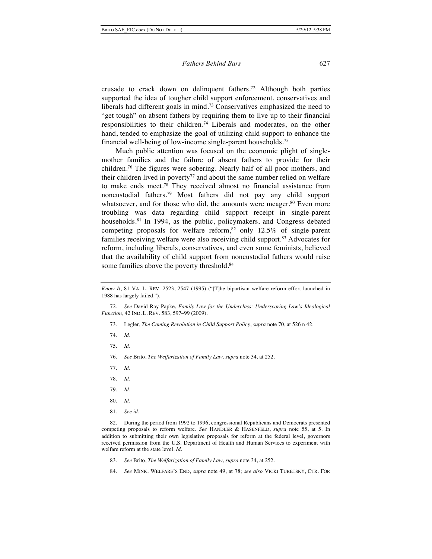crusade to crack down on delinquent fathers.72 Although both parties supported the idea of tougher child support enforcement, conservatives and liberals had different goals in mind.73 Conservatives emphasized the need to "get tough" on absent fathers by requiring them to live up to their financial responsibilities to their children.74 Liberals and moderates, on the other hand, tended to emphasize the goal of utilizing child support to enhance the financial well-being of low-income single-parent households.75

Much public attention was focused on the economic plight of singlemother families and the failure of absent fathers to provide for their children.76 The figures were sobering. Nearly half of all poor mothers, and their children lived in poverty<sup>77</sup> and about the same number relied on welfare to make ends meet.78 They received almost no financial assistance from noncustodial fathers.79 Most fathers did not pay any child support whatsoever, and for those who did, the amounts were meager.<sup>80</sup> Even more troubling was data regarding child support receipt in single-parent households.81 In 1994, as the public, policymakers, and Congress debated competing proposals for welfare reform, $82$  only 12.5% of single-parent families receiving welfare were also receiving child support.<sup>83</sup> Advocates for reform, including liberals, conservatives, and even some feminists, believed that the availability of child support from noncustodial fathers would raise some families above the poverty threshold.<sup>84</sup>

- 73. Legler, *The Coming Revolution in Child Support Policy*, *supra* note 70, at 526 n.42.
- 74. *Id.*
- 75. *Id.*
- 76. *See* Brito, *The Welfarization of Family Law*, *supra* note 34, at 252.
- 77. *Id*.
- 78. *Id*.
- 79. *Id.*
- 80. *Id.*
- 81. *See id*.

82. During the period from 1992 to 1996, congressional Republicans and Democrats presented competing proposals to reform welfare. *See* HANDLER & HASENFELD, *supra* note 55, at 5. In addition to submitting their own legislative proposals for reform at the federal level, governors received permission from the U.S. Department of Health and Human Services to experiment with welfare reform at the state level. *Id.*

- 83. *See* Brito, *The Welfarization of Family Law*, *supra* note 34, at 252.
- 84. *See* MINK, WELFARE'S END, *supra* note 49, at 78; *see also* VICKI TURETSKY, CTR. FOR

*Know It*, 81 VA. L. REV. 2523, 2547 (1995) ("[T]he bipartisan welfare reform effort launched in 1988 has largely failed.").

<sup>72.</sup> *See* David Ray Papke, *Family Law for the Underclass: Underscoring Law's Ideological Function*, 42 IND. L. REV. 583, 597–99 (2009).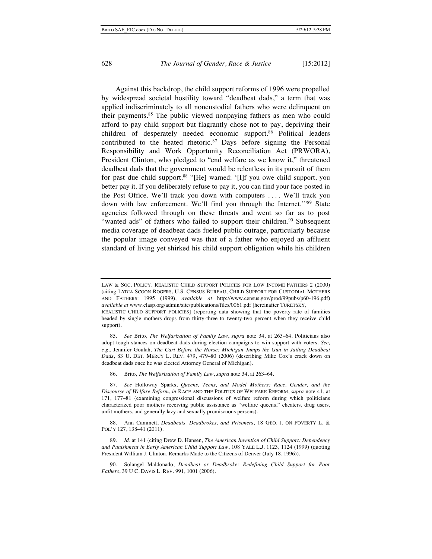Against this backdrop, the child support reforms of 1996 were propelled by widespread societal hostility toward "deadbeat dads," a term that was applied indiscriminately to all noncustodial fathers who were delinquent on their payments.<sup>85</sup> The public viewed nonpaying fathers as men who could afford to pay child support but flagrantly chose not to pay, depriving their children of desperately needed economic support.<sup>86</sup> Political leaders contributed to the heated rhetoric.87 Days before signing the Personal Responsibility and Work Opportunity Reconciliation Act (PRWORA), President Clinton, who pledged to "end welfare as we know it," threatened deadbeat dads that the government would be relentless in its pursuit of them for past due child support.<sup>88</sup> "[He] warned: '[I]f you owe child support, you better pay it. If you deliberately refuse to pay it, you can find your face posted in the Post Office. We'll track you down with computers . . . . We'll track you down with law enforcement. We'll find you through the Internet."<sup>89</sup> State agencies followed through on these threats and went so far as to post "wanted ads" of fathers who failed to support their children.<sup>90</sup> Subsequent media coverage of deadbeat dads fueled public outrage, particularly because the popular image conveyed was that of a father who enjoyed an affluent standard of living yet shirked his child support obligation while his children

LAW & SOC. POLICY, REALISTIC CHILD SUPPORT POLICIES FOR LOW INCOME FATHERS 2 (2000) (citing LYDIA SCOON-ROGERS, U.S. CENSUS BUREAU, CHILD SUPPORT FOR CUSTODIAL MOTHERS AND FATHERS: 1995 (1999), *available at* http://www.census.gov/prod/99pubs/p60-196.pdf) *available at* www.clasp.org/admin/site/publications/files/0061.pdf [hereinafter TURETSKY,

REALISTIC CHILD SUPPORT POLICIES] (reporting data showing that the poverty rate of families headed by single mothers drops from thirty-three to twenty-two percent when they receive child support).

<sup>85.</sup> *See* Brito, *The Welfarization of Family Law*, *supra* note 34, at 263–64. Politicians also adopt tough stances on deadbeat dads during election campaigns to win support with voters. *See, e.g*., Jennifer Goulah, *The Cart Before the Horse: Michigan Jumps the Gun in Jailing Deadbeat Dads*, 83 U. DET. MERCY L. REV. 479, 479–80 (2006) (describing Mike Cox's crack down on deadbeat dads once he was elected Attorney General of Michigan).

<sup>86.</sup> Brito, *The Welfarization of Family Law*, *supra* note 34, at 263–64.

<sup>87.</sup> *See* Holloway Sparks, *Queens, Teens, and Model Mothers: Race, Gender, and the Discourse of Welfare Reform*, *in* RACE AND THE POLITICS OF WELFARE REFORM, *supra* note 41, at 171, 177–81 (examining congressional discussions of welfare reform during which politicians characterized poor mothers receiving public assistance as "welfare queens," cheaters, drug users, unfit mothers, and generally lazy and sexually promiscuous persons).

<sup>88.</sup> Ann Cammett, *Deadbeats, Deadbrokes, and Prisoner*s, 18 GEO. J. ON POVERTY L. & POL'Y 127, 138–41 (2011).

<sup>89.</sup> *Id.* at 141 (citing Drew D. Hansen, *The American Invention of Child Support: Dependency and Punishment in Early American Child Support Law*, 108 YALE L.J. 1123, 1124 (1999) (quoting President William J. Clinton, Remarks Made to the Citizens of Denver (July 18, 1996)).

<sup>90.</sup> Solangel Maldonado, *Deadbeat or Deadbroke: Redefining Child Support for Poor Fathers*, 39 U.C. DAVIS L. REV. 991, 1001 (2006).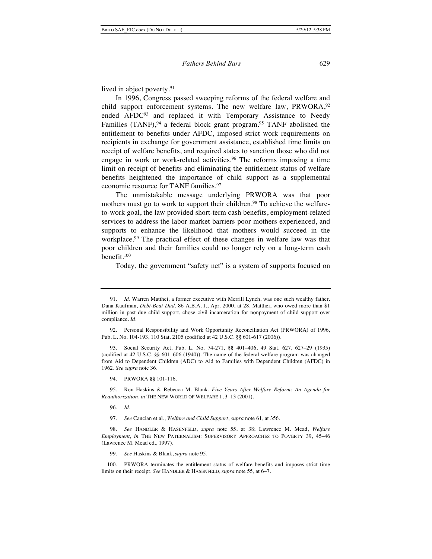lived in abject poverty.<sup>91</sup>

In 1996, Congress passed sweeping reforms of the federal welfare and child support enforcement systems. The new welfare law, PRWORA,<sup>92</sup> ended AFDC<sup>93</sup> and replaced it with Temporary Assistance to Needy Families (TANF),  $94$  a federal block grant program.  $95$  TANF abolished the entitlement to benefits under AFDC, imposed strict work requirements on recipients in exchange for government assistance, established time limits on receipt of welfare benefits, and required states to sanction those who did not engage in work or work-related activities.<sup>96</sup> The reforms imposing a time limit on receipt of benefits and eliminating the entitlement status of welfare benefits heightened the importance of child support as a supplemental economic resource for TANF families.<sup>97</sup>

The unmistakable message underlying PRWORA was that poor mothers must go to work to support their children.<sup>98</sup> To achieve the welfareto-work goal, the law provided short-term cash benefits, employment-related services to address the labor market barriers poor mothers experienced, and supports to enhance the likelihood that mothers would succeed in the workplace.<sup>99</sup> The practical effect of these changes in welfare law was that poor children and their families could no longer rely on a long-term cash benefit.100

Today, the government "safety net" is a system of supports focused on

93. Social Security Act, Pub. L. No. 74-271, §§ 401–406, 49 Stat. 627, 627–29 (1935) (codified at 42 U.S.C. §§ 601–606 (1940)). The name of the federal welfare program was changed from Aid to Dependent Children (ADC) to Aid to Families with Dependent Children (AFDC) in 1962. *See supra* note 36.

94. PRWORA §§ 101-116.

95. Ron Haskins & Rebecca M. Blank, *Five Years After Welfare Reform: An Agenda for Reauthorization*, *in* THE NEW WORLD OF WELFARE 1, 3–13 (2001).

- 96. *Id.*
- 97. *See* Cancian et al., *Welfare and Child Support*, *supra* note 61, at 356.

98. *See* HANDLER & HASENFELD, *supra* note 55, at 38; Lawrence M. Mead, *Welfare Employment*, *in* THE NEW PATERNALISM: SUPERVISORY APPROACHES TO POVERTY 39, 45–46 (Lawrence M. Mead ed., 1997).

99. *See* Haskins & Blank, *supra* note 95.

100. PRWORA terminates the entitlement status of welfare benefits and imposes strict time limits on their receipt. *See* HANDLER & HASENFELD, *supra* note 55, at 6–7.

<sup>91.</sup> *Id.* Warren Matthei, a former executive with Merrill Lynch, was one such wealthy father. Dana Kaufman, *Debt-Beat Dad*, 86 A.B.A. J., Apr. 2000, at 28. Matthei, who owed more than \$1 million in past due child support, chose civil incarceration for nonpayment of child support over compliance. *Id.*

<sup>92.</sup> Personal Responsibility and Work Opportunity Reconciliation Act (PRWORA) of 1996, Pub. L. No. 104-193, 110 Stat. 2105 (codified at 42 U.S.C. §§ 601-617 (2006)).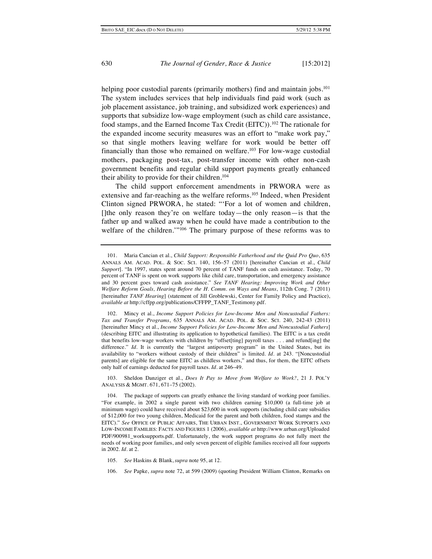helping poor custodial parents (primarily mothers) find and maintain jobs.<sup>101</sup> The system includes services that help individuals find paid work (such as job placement assistance, job training, and subsidized work experiences) and supports that subsidize low-wage employment (such as child care assistance, food stamps, and the Earned Income Tax Credit (EITC)).102 The rationale for the expanded income security measures was an effort to "make work pay," so that single mothers leaving welfare for work would be better off financially than those who remained on welfare.<sup>103</sup> For low-wage custodial mothers, packaging post-tax, post-transfer income with other non-cash government benefits and regular child support payments greatly enhanced their ability to provide for their children.<sup>104</sup>

The child support enforcement amendments in PRWORA were as extensive and far-reaching as the welfare reforms.105 Indeed, when President Clinton signed PRWORA, he stated: "'For a lot of women and children, []the only reason they're on welfare today—the only reason—is that the father up and walked away when he could have made a contribution to the welfare of the children.'"106 The primary purpose of these reforms was to

103. Sheldon Danziger et al., *Does It Pay to Move from Welfare to Work?*, 21 J. POL'Y ANALYSIS & MGMT. 671, 671–75 (2002).

<sup>101.</sup> Maria Cancian et al., *Child Support: Responsible Fatherhood and the Quid Pro Quo*, 635 ANNALS AM. ACAD. POL. & SOC. SCI. 140, 156–57 (2011) [hereinafter Cancian et al., *Child Support*]. "In 1997, states spent around 70 percent of TANF funds on cash assistance. Today, 70 percent of TANF is spent on work supports like child care, transportation, and emergency assistance and 30 percent goes toward cash assistance." *See TANF Hearing: Improving Work and Other Welfare Reform Goals, Hearing Before the H. Comm. on Ways and Means*, 112th Cong. 7 (2011) [hereinafter *TANF Hearing*] (statement of Jill Groblewski, Center for Family Policy and Practice), *available at* http://cffpp.org/publications/CFFPP\_TANF\_Testimony.pdf.

<sup>102.</sup> Mincy et al., *Income Support Policies for Low-Income Men and Noncustodial Fathers: Tax and Transfer Programs*, 635 ANNALS AM. ACAD. POL. & SOC. SCI. 240, 242-43 (2011) [hereinafter Mincy et al., *Income Support Policies for Low-Income Men and Noncustodial Fathers*] (describing EITC and illustrating its application to hypothetical families). The EITC is a tax credit that benefits low-wage workers with children by "offset[ting] payroll taxes . . . and refund[ing] the difference." *Id.* It is currently the "largest antipoverty program" in the United States, but its availability to "workers without custody of their children" is limited. *Id.* at 243. "[Noncustodial parents] are eligible for the same EITC as childless workers," and thus, for them, the EITC offsets only half of earnings deducted for payroll taxes. *Id.* at 246–49.

<sup>104.</sup> The package of supports can greatly enhance the living standard of working poor families. "For example, in 2002 a single parent with two children earning \$10,000 (a full-time job at minimum wage) could have received about \$23,600 in work supports (including child care subsidies of \$12,000 for two young children, Medicaid for the parent and both children, food stamps and the EITC)." *See* OFFICE OF PUBLIC AFFAIRS, THE URBAN INST., GOVERNMENT WORK SUPPORTS AND LOW-INCOME FAMILIES: FACTS AND FIGURES 1 (2006), *available at* http://www.urban.org/Uploaded PDF/900981\_worksupports.pdf. Unfortunately, the work support programs do not fully meet the needs of working poor families, and only seven percent of eligible families received all four supports in 2002. *Id.* at 2.

<sup>105.</sup> *See* Haskins & Blank, *supra* note 95, at 12.

<sup>106.</sup> *See* Papke, *supra* note 72, at 599 (2009) (quoting President William Clinton, Remarks on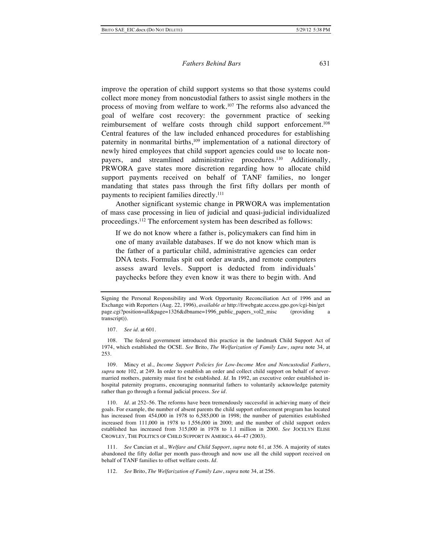improve the operation of child support systems so that those systems could collect more money from noncustodial fathers to assist single mothers in the process of moving from welfare to work.107 The reforms also advanced the goal of welfare cost recovery: the government practice of seeking reimbursement of welfare costs through child support enforcement.<sup>108</sup> Central features of the law included enhanced procedures for establishing paternity in nonmarital births,<sup>109</sup> implementation of a national directory of newly hired employees that child support agencies could use to locate nonpayers, and streamlined administrative procedures.<sup>110</sup> Additionally, PRWORA gave states more discretion regarding how to allocate child support payments received on behalf of TANF families, no longer mandating that states pass through the first fifty dollars per month of payments to recipient families directly.111

Another significant systemic change in PRWORA was implementation of mass case processing in lieu of judicial and quasi-judicial individualized proceedings.112 The enforcement system has been described as follows:

If we do not know where a father is, policymakers can find him in one of many available databases. If we do not know which man is the father of a particular child, administrative agencies can order DNA tests. Formulas spit out order awards, and remote computers assess award levels. Support is deducted from individuals' paychecks before they even know it was there to begin with. And

109. Mincy et al., *Income Support Policies for Low-Income Men and Noncustodial Fathers*, *supra* note 102, at 249. In order to establish an order and collect child support on behalf of nevermarried mothers, paternity must first be established. *Id*. In 1992, an executive order established inhospital paternity programs, encouraging nonmarital fathers to voluntarily acknowledge paternity rather than go through a formal judicial process. *See id.*

110. *Id*. at 252–56. The reforms have been tremendously successful in achieving many of their goals. For example, the number of absent parents the child support enforcement program has located has increased from 454,000 in 1978 to 6,585,000 in 1998; the number of paternities established increased from 111,000 in 1978 to 1,556,000 in 2000; and the number of child support orders established has increased from 315,000 in 1978 to 1.1 million in 2000. *See* JOCELYN ELISE CROWLEY, THE POLITICS OF CHILD SUPPORT IN AMERICA 44–47 (2003).

111. *See* Cancian et al., *Welfare and Child Support*, *supra* note 61, at 356. A majority of states abandoned the fifty dollar per month pass-through and now use all the child support received on behalf of TANF families to offset welfare costs. *Id.*

112. *See* Brito, *The Welfarization of Family Law*, *supra* note 34, at 256.

Signing the Personal Responsibility and Work Opportunity Reconciliation Act of 1996 and an Exchange with Reporters (Aug. 22, 1996), *available at* http://frwebgate.access.gpo.gov/cgi-bin/get page.cgi?position=all&page=1326&dbname=1996\_public\_papers\_vol2\_misc (providing a transcript)).

<sup>107.</sup> *See id.* at 601.

<sup>108.</sup> The federal government introduced this practice in the landmark Child Support Act of 1974, which established the OCSE. *See* Brito, *The Welfarization of Family Law*, *supra* note 34, at 253.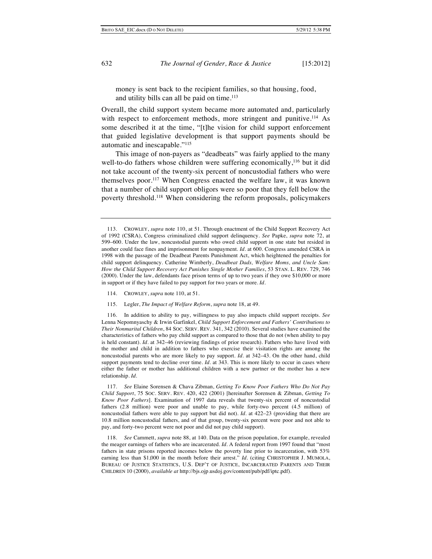money is sent back to the recipient families, so that housing, food, and utility bills can all be paid on time.<sup>113</sup>

Overall, the child support system became more automated and, particularly with respect to enforcement methods, more stringent and punitive.<sup>114</sup> As some described it at the time, "[t]he vision for child support enforcement that guided legislative development is that support payments should be automatic and inescapable."115

This image of non-payers as "deadbeats" was fairly applied to the many well-to-do fathers whose children were suffering economically,<sup>116</sup> but it did not take account of the twenty-six percent of noncustodial fathers who were themselves poor.117 When Congress enacted the welfare law, it was known that a number of child support obligors were so poor that they fell below the poverty threshold.118 When considering the reform proposals, policymakers

- 114. CROWLEY, *supra* note 110, at 51.
- 115. Legler, *The Impact of Welfare Reform*, *supra* note 18, at 49.

116. In addition to ability to pay, willingness to pay also impacts child support receipts. *See*  Lenna Nepomnyaschy & Irwin Garfinkel, *Child Support Enforcement and Fathers' Contributions to Their Nonmarital Children*, 84 SOC. SERV. REV. 341, 342 (2010). Several studies have examined the characteristics of fathers who pay child support as compared to those that do not (when ability to pay is held constant). *Id.* at 342–46 (reviewing findings of prior research). Fathers who have lived with the mother and child in addition to fathers who exercise their visitation rights are among the noncustodial parents who are more likely to pay support. *Id.* at 342–43. On the other hand, child support payments tend to decline over time*. Id.* at 343. This is more likely to occur in cases where either the father or mother has additional children with a new partner or the mother has a new relationship. *Id.*

117. *See* Elaine Sorensen & Chava Zibman, *Getting To Know Poor Fathers Who Do Not Pay Child Support*, 75 SOC. SERV. REV. 420, 422 (2001) [hereinafter Sorensen & Zibman, *Getting To Know Poor Fathers*]. Examination of 1997 data reveals that twenty-six percent of noncustodial fathers (2.8 million) were poor and unable to pay, while forty-two percent (4.5 million) of noncustodial fathers were able to pay support but did not). *Id.* at 422–23 (providing that there are 10.8 million noncustodial fathers, and of that group, twenty-six percent were poor and not able to pay, and forty-two percent were not poor and did not pay child support).

118. *See* Cammett, *supra* note 88, at 140. Data on the prison population, for example, revealed the meager earnings of fathers who are incarcerated. *Id.* A federal report from 1997 found that "most fathers in state prisons reported incomes below the poverty line prior to incarceration, with 53% earning less than \$1,000 in the month before their arrest." *Id.* (citing CHRISTOPHER J. MUMOLA, BUREAU OF JUSTICE STATISTICS, U.S. DEP'T OF JUSTICE, INCARCERATED PARENTS AND THEIR CHILDREN 10 (2000), *available at* http://bjs.ojp.usdoj.gov/content/pub/pdf/iptc.pdf).

<sup>113.</sup> CROWLEY, *supra* note 110, at 51. Through enactment of the Child Support Recovery Act of 1992 (CSRA), Congress criminalized child support delinquency. *See* Papke, *supra* note 72, at 599–600. Under the law, noncustodial parents who owed child support in one state but resided in another could face fines and imprisonment for nonpayment*. Id.* at 600. Congress amended CSRA in 1998 with the passage of the Deadbeat Parents Punishment Act, which heightened the penalties for child support delinquency. Catherine Wimberly, *Deadbeat Dads, Welfare Moms, and Uncle Sam: How the Child Support Recovery Act Punishes Single Mother Families*, 53 STAN. L. REV. 729, 746 (2000). Under the law, defendants face prison terms of up to two years if they owe \$10,000 or more in support or if they have failed to pay support for two years or more. *Id*.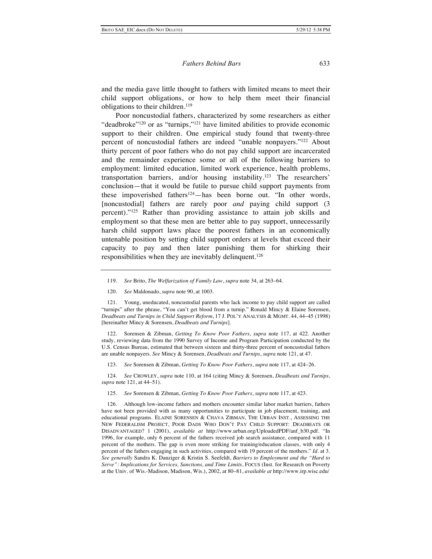and the media gave little thought to fathers with limited means to meet their child support obligations, or how to help them meet their financial obligations to their children.119

Poor noncustodial fathers, characterized by some researchers as either "deadbroke"<sup>120</sup> or as "turnips,"<sup>121</sup> have limited abilities to provide economic support to their children. One empirical study found that twenty-three percent of noncustodial fathers are indeed "unable nonpayers."122 About thirty percent of poor fathers who do not pay child support are incarcerated and the remainder experience some or all of the following barriers to employment: limited education, limited work experience, health problems, transportation barriers, and/or housing instability.123 The researchers' conclusion—that it would be futile to pursue child support payments from these impoverished fathers<sup>124</sup>—has been borne out. "In other words, [noncustodial] fathers are rarely poor *and* paying child support (3) percent)."125 Rather than providing assistance to attain job skills and employment so that these men are better able to pay support, unnecessarily harsh child support laws place the poorest fathers in an economically untenable position by setting child support orders at levels that exceed their capacity to pay and then later punishing them for shirking their responsibilities when they are inevitably delinquent.126

120. *See* Maldonado, *supra* note 90, at 1003.

121. Young, uneducated, noncustodial parents who lack income to pay child support are called "turnips" after the phrase, "You can't get blood from a turnip." Ronald Mincy & Elaine Sorensen, *Deadbeats and Turnips in Child Support Reform*, 17 J. POL'Y ANALYSIS & MGMT. 44, 44–45 (1998) [hereinafter Mincy & Sorensen, *Deadbeats and Turnips*].

122. Sorensen & Zibman, *Getting To Know Poor Fathers*, *supra* note 117, at 422. Another study, reviewing data from the 1990 Survey of Income and Program Participation conducted by the U.S. Census Bureau, estimated that between sixteen and thirty-three percent of noncustodial fathers are unable nonpayers. *See* Mincy & Sorensen, *Deadbeats and Turnips*, *supra* note 121, at 47.

123. *See* Sorensen & Zibman, *Getting To Know Poor Fathers*, *supra* note 117, at 424–26.

124. *See* CROWLEY, *supra* note 110, at 164 (citing Mincy & Sorensen, *Deadbeats and Turnips*, *supra* note 121, at 44–51).

125. *See* Sorensen & Zibman, *Getting To Know Poor Fathers*, *supra* note 117, at 423.

126. Although low-income fathers and mothers encounter similar labor market barriers, fathers have not been provided with as many opportunities to participate in job placement, training, and educational programs. ELAINE SORENSEN & CHAVA ZIBMAN, THE URBAN INST., ASSESSING THE NEW FEDERALISM PROJECT, POOR DADS WHO DON'T PAY CHILD SUPPORT: DEADBEATS OR DISADVANTAGED? 1 (2001), *available at* http://www.urban.org/UploadedPDF/anf\_b30.pdf. "In 1996, for example, only 6 percent of the fathers received job search assistance, compared with 11 percent of the mothers. The gap is even more striking for training/education classes, with only 4 percent of the fathers engaging in such activities, compared with 19 percent of the mothers." *Id*. at 3. *See generally* Sandra K. Danziger & Kristin S. Seefeldt, *Barriers to Employment and the "Hard to Serve": Implications for Services, Sanctions, and Time Limits*, FOCUS (Inst. for Research on Poverty at the Univ. of Wis.-Madison, Madison, Wis.), 2002, at 80–81, *available at* http://www.irp.wisc.edu/

<sup>119.</sup> *See* Brito, *The Welfarization of Family Law*, *supra* note 34, at 263–64.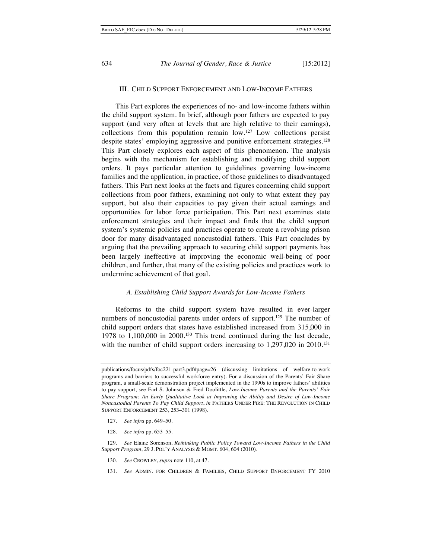## III. CHILD SUPPORT ENFORCEMENT AND LOW-INCOME FATHERS

This Part explores the experiences of no- and low-income fathers within the child support system. In brief, although poor fathers are expected to pay support (and very often at levels that are high relative to their earnings), collections from this population remain low.127 Low collections persist despite states' employing aggressive and punitive enforcement strategies.128 This Part closely explores each aspect of this phenomenon. The analysis begins with the mechanism for establishing and modifying child support orders. It pays particular attention to guidelines governing low-income families and the application, in practice, of those guidelines to disadvantaged fathers. This Part next looks at the facts and figures concerning child support collections from poor fathers, examining not only to what extent they pay support, but also their capacities to pay given their actual earnings and opportunities for labor force participation. This Part next examines state enforcement strategies and their impact and finds that the child support system's systemic policies and practices operate to create a revolving prison door for many disadvantaged noncustodial fathers. This Part concludes by arguing that the prevailing approach to securing child support payments has been largely ineffective at improving the economic well-being of poor children, and further, that many of the existing policies and practices work to undermine achievement of that goal.

#### *A. Establishing Child Support Awards for Low-Income Fathers*

Reforms to the child support system have resulted in ever-larger numbers of noncustodial parents under orders of support.<sup>129</sup> The number of child support orders that states have established increased from 315,000 in 1978 to 1,100,000 in 2000.130 This trend continued during the last decade, with the number of child support orders increasing to 1,297,020 in 2010.<sup>131</sup>

- 127. *See infra* pp. 649–50.
- 128. *See infra* pp. 653–55.

- 130. *See* CROWLEY, *supra* note 110, at 47.
- 131. *See* ADMIN. FOR CHILDREN & FAMILIES, CHILD SUPPORT ENFORCEMENT FY 2010

publications/focus/pdfs/foc221-part3.pdf#page=26 (discussing limitations of welfare-to-work programs and barriers to successful workforce entry). For a discussion of the Parents' Fair Share program, a small-scale demonstration project implemented in the 1990s to improve fathers' abilities to pay support, see Earl S. Johnson & Fred Doolittle, *Low-Income Parents and the Parents' Fair Share Program: An Early Qualitative Look at Improving the Ability and Desire of Low-Income Noncustodial Parents To Pay Child Support*, *in* FATHERS UNDER FIRE: THE REVOLUTION IN CHILD SUPPORT ENFORCEMENT 253, 253–301 (1998).

<sup>129.</sup> *See* Elaine Sorenson, *Rethinking Public Policy Toward Low-Income Fathers in the Child Support Program*, 29 J. POL'Y ANALYSIS & MGMT. 604, 604 (2010).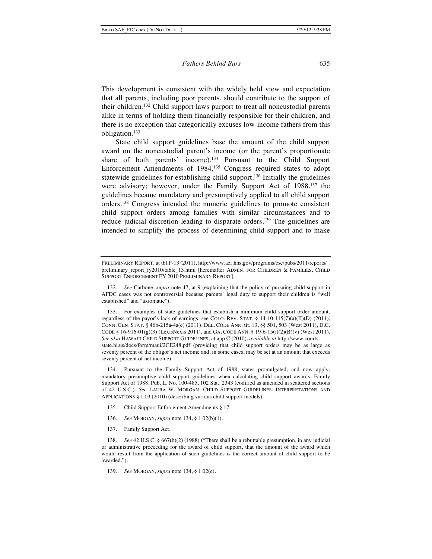This development is consistent with the widely held view and expectation that all parents, including poor parents, should contribute to the support of their children.132 Child support laws purport to treat all noncustodial parents alike in terms of holding them financially responsible for their children, and there is no exception that categorically excuses low-income fathers from this obligation.133

State child support guidelines base the amount of the child support award on the noncustodial parent's income (or the parent's proportionate share of both parents' income).134 Pursuant to the Child Support Enforcement Amendments of 1984,135 Congress required states to adopt statewide guidelines for establishing child support.136 Initially the guidelines were advisory; however, under the Family Support Act of 1988,<sup>137</sup> the guidelines became mandatory and presumptively applied to all child support orders.138 Congress intended the numeric guidelines to promote consistent child support orders among families with similar circumstances and to reduce judicial discretion leading to disparate orders.<sup>139</sup> The guidelines are intended to simplify the process of determining child support and to make

133. For examples of state guidelines that establish a minimum child support order amount, regardless of the payor's lack of earnings, see COLO. REV. STAT. § 14-10-115(7)(a)(II)(D) (2011), CONN. GEN. STAT. § 46b-215a-4a(c) (2011), DEL. CODE ANN. tit. 13, §§ 501, 503 (West 2011), D.C. CODE § 16-916-01(g)(3) (LexisNexis 2011), and GA. CODE ANN. § 19-6-15(i)(2)(B)(v) (West 2011). *See also* HAWAI'I CHILD SUPPORT GUIDELINES, at app.C (2010), *available at* http://www.courts. state.hi.us/docs/form/maui/2CE248.pdf (providing that child support orders may be as large as seventy percent of the obligor's net income and, in some cases, may be set at an amount that exceeds seventy percent of net income).

134. Pursuant to the Family Support Act of 1988, states promulgated, and now apply, mandatory presumptive child support guidelines when calculating child support awards. Family Support Act of 1988, Pub. L. No. 100-485, 102 Stat. 2343 (codified as amended in scattered sections of 42 U.S.C.). *See* LAURA W. MORGAN, CHILD SUPPORT GUIDELINES: INTERPRETATIONS AND APPLICATIONS § 1.03 (2010) (describing various child support models).

- 135. Child Support Enforcement Amendments § 17.
- 136. *See* MORGAN, *supra* note 134, § 1.02(b)(1).
- 137. Family Support Act.

138. *See* 42 U.S.C. § 667(b)(2) (1988) ("There shall be a rebuttable presumption, in any judicial or administrative proceeding for the award of child support, that the amount of the award which would result from the application of such guidelines is the correct amount of child support to be awarded.").

139. *See* MORGAN, *supra* note 134, § 1.02(e).

PRELIMINARY REPORT, at tbl.P-13 (2011), http://www.acf.hhs.gov/programs/cse/pubs/2011/reports/ preliminary report fy2010/table\_13.html [hereinafter ADMIN. FOR CHILDREN & FAMILIES, CHILD SUPPORT ENFORCEMENT FY 2010 PRELIMINARY REPORT].

<sup>132.</sup> *See* Carbone, *supra* note 47, at 9 (explaining that the policy of pursuing child support in AFDC cases was not controversial because parents' legal duty to support their children is "well established" and "axiomatic").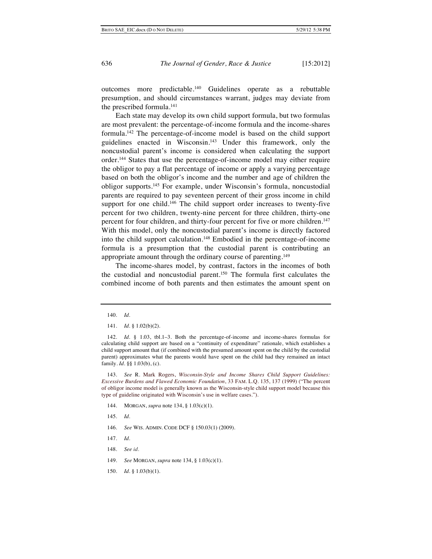outcomes more predictable.140 Guidelines operate as a rebuttable presumption, and should circumstances warrant, judges may deviate from the prescribed formula.<sup>141</sup>

Each state may develop its own child support formula, but two formulas are most prevalent: the percentage-of-income formula and the income-shares formula.142 The percentage-of-income model is based on the child support guidelines enacted in Wisconsin.143 Under this framework, only the noncustodial parent's income is considered when calculating the support order.144 States that use the percentage-of-income model may either require the obligor to pay a flat percentage of income or apply a varying percentage based on both the obligor's income and the number and age of children the obligor supports.145 For example, under Wisconsin's formula, noncustodial parents are required to pay seventeen percent of their gross income in child support for one child.<sup>146</sup> The child support order increases to twenty-five percent for two children, twenty-nine percent for three children, thirty-one percent for four children, and thirty-four percent for five or more children.<sup>147</sup> With this model, only the noncustodial parent's income is directly factored into the child support calculation.148 Embodied in the percentage-of-income formula is a presumption that the custodial parent is contributing an appropriate amount through the ordinary course of parenting.149

The income-shares model, by contrast, factors in the incomes of both the custodial and noncustodial parent.150 The formula first calculates the combined income of both parents and then estimates the amount spent on

143. *See* R. Mark Rogers, *Wisconsin-Style and Income Shares Child Support Guidelines: Excessive Burdens and Flawed Economic Foundation*, 33 FAM. L.Q. 135, 137 (1999) ("The percent of obligor income model is generally known as the Wisconsin-style child support model because this type of guideline originated with Wisconsin's use in welfare cases.").

- 144. MORGAN, *supra* note 134, § 1.03(c)(1).
- 145. *Id.*
- 146. *See* WIS. ADMIN. CODE DCF § 150.03(1) (2009).
- 147. *Id.*
- 148. *See id.*
- 149. *See* MORGAN, *supra* note 134, § 1.03(c)(1).
- 150. *Id*. § 1.03(b)(1).

<sup>140.</sup> *Id.*

<sup>141.</sup> *Id.* § 1.02(b)(2).

<sup>142.</sup> *Id*. § 1.03, tbl.1–3. Both the percentage-of-income and income-shares formulas for calculating child support are based on a "continuity of expenditure" rationale, which establishes a child support amount that (if combined with the presumed amount spent on the child by the custodial parent) approximates what the parents would have spent on the child had they remained an intact family*. Id*. §§ 1.03(b), (c).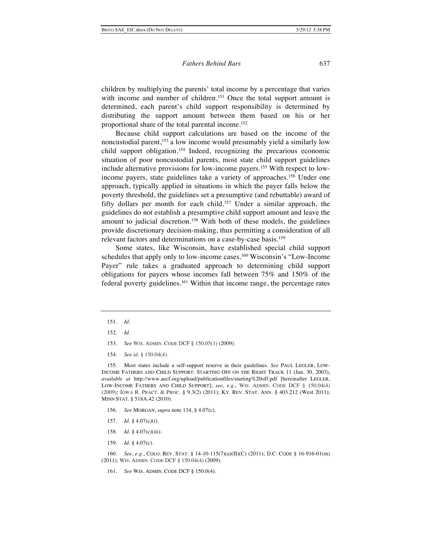children by multiplying the parents' total income by a percentage that varies with income and number of children.<sup>151</sup> Once the total support amount is determined, each parent's child support responsibility is determined by distributing the support amount between them based on his or her proportional share of the total parental income.152

Because child support calculations are based on the income of the noncustodial parent,153 a low income would presumably yield a similarly low child support obligation.154 Indeed, recognizing the precarious economic situation of poor noncustodial parents, most state child support guidelines include alternative provisions for low-income payers.155 With respect to lowincome payers, state guidelines take a variety of approaches.156 Under one approach, typically applied in situations in which the payer falls below the poverty threshold, the guidelines set a presumptive (and rebuttable) award of fifty dollars per month for each child.157 Under a similar approach, the guidelines do not establish a presumptive child support amount and leave the amount to judicial discretion.158 With both of these models, the guidelines provide discretionary decision-making, thus permitting a consideration of all relevant factors and determinations on a case-by-case basis.159

Some states, like Wisconsin, have established special child support schedules that apply only to low-income cases.160 Wisconsin's "Low-Income Payer" rule takes a graduated approach to determining child support obligations for payers whose incomes fall between 75% and 150% of the federal poverty guidelines.161 Within that income range, the percentage rates

- 153. *See* WIS. ADMIN. CODE DCF § 150.05(1) (2009).
- 154. *See id.* § 150.04(4).

155. Most states include a self-support reserve in their guidelines. *See* PAUL LEGLER, LOW-INCOME FATHERS AND CHILD SUPPORT: STARTING OFF ON THE RIGHT TRACK 11 (Jan. 30, 2003), *available at* http://www.aecf.org/upload/publicationfiles/starting%20off.pdf [hereinafter LEGLER, LOW-INCOME FATHERS AND CHILD SUPPORT]; *see, e.g.*, WIS. ADMIN. CODE DCF § 150.04(4) (2009); IOWA R. PRACT. & PROC. § 9.3(2) (2011); KY. REV. STAT. ANN. § 403.212 (West 2011); MINN STAT. § 518A.42 (2010).

- 156. *See* MORGAN, *supra* note 134, § 4.07(c).
- 157. *Id*. § 4.07(c)(i).
- 158. *Id*. § 4.07(c)(iii).
- 159. *Id.* § 4.07(c).

160. *See, e.g.*, COLO. REV. STAT. § 14-10-115(7)(a)(II)(C) (2011); D.C. CODE § 16-916-01(m) (2011); WIS. ADMIN. CODE DCF § 150.04(4) (2009).

161. *See* WIS. ADMIN. CODE DCF § 150.0(4).

<sup>151.</sup> *Id.*

<sup>152.</sup> *Id*.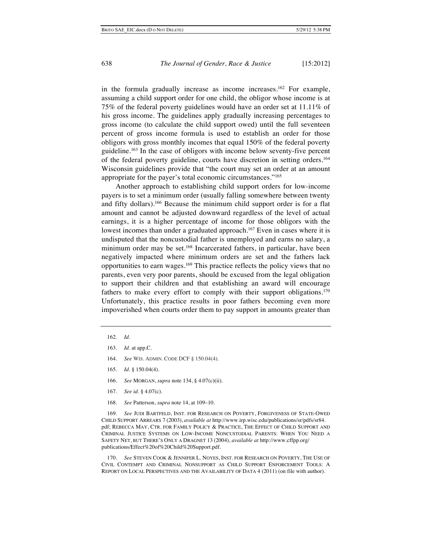in the formula gradually increase as income increases.162 For example, assuming a child support order for one child, the obligor whose income is at 75% of the federal poverty guidelines would have an order set at 11.11% of his gross income. The guidelines apply gradually increasing percentages to gross income (to calculate the child support owed) until the full seventeen percent of gross income formula is used to establish an order for those obligors with gross monthly incomes that equal 150% of the federal poverty guideline.163 In the case of obligors with income below seventy-five percent of the federal poverty guideline, courts have discretion in setting orders.164 Wisconsin guidelines provide that "the court may set an order at an amount appropriate for the payer's total economic circumstances."165

Another approach to establishing child support orders for low-income payers is to set a minimum order (usually falling somewhere between twenty and fifty dollars).166 Because the minimum child support order is for a flat amount and cannot be adjusted downward regardless of the level of actual earnings, it is a higher percentage of income for those obligors with the lowest incomes than under a graduated approach.<sup>167</sup> Even in cases where it is undisputed that the noncustodial father is unemployed and earns no salary, a minimum order may be set.<sup>168</sup> Incarcerated fathers, in particular, have been negatively impacted where minimum orders are set and the fathers lack opportunities to earn wages.169 This practice reflects the policy views that no parents, even very poor parents, should be excused from the legal obligation to support their children and that establishing an award will encourage fathers to make every effort to comply with their support obligations.170 Unfortunately, this practice results in poor fathers becoming even more impoverished when courts order them to pay support in amounts greater than

- 164. *See* WIS. ADMIN. CODE DCF § 150.04(4).
- 165. *Id*. § 150.04(4).
- 166. *See* MORGAN, *supra* note 134, § 4.07(c)(ii).
- 167. *See id*. § 4.07(c).
- 168. *See* Patterson, *supra* note 14, at 109–10.

169. *See* JUDI BARTFELD, INST. FOR RESEARCH ON POVERTY, FORGIVENESS OF STATE-OWED CHILD SUPPORT ARREARS 7 (2003), *available at* http://www.irp.wisc.edu/publications/sr/pdfs/sr84. pdf; REBECCA MAY, CTR. FOR FAMILY POLICY & PRACTICE, THE EFFECT OF CHILD SUPPORT AND CRIMINAL JUSTICE SYSTEMS ON LOW-INCOME NONCUSTODIAL PARENTS: WHEN YOU NEED A SAFETY NET, BUT THERE'S ONLY A DRAGNET 13 (2004), *available at* http://www.cffpp.org/ publications/Effect%20of%20Child%20Support.pdf.

170. *See* STEVEN COOK & JENNIFER L. NOYES, INST. FOR RESEARCH ON POVERTY, THE USE OF CIVIL CONTEMPT AND CRIMINAL NONSUPPORT AS CHILD SUPPORT ENFORCEMENT TOOLS: A REPORT ON LOCAL PERSPECTIVES AND THE AVAILABILITY OF DATA 4 (2011) (on file with author).

<sup>162.</sup> *Id*.

<sup>163.</sup> *Id*. at app.C.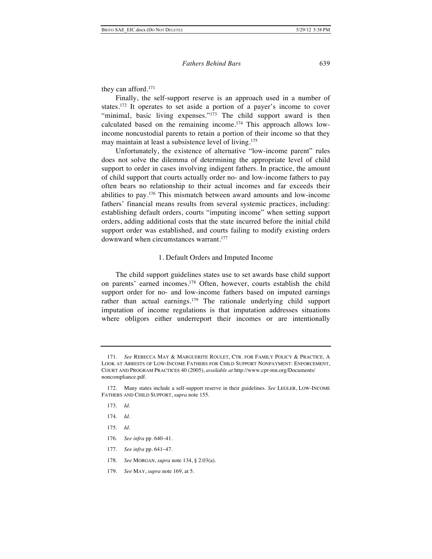they can afford.171

Finally, the self-support reserve is an approach used in a number of states.172 It operates to set aside a portion of a payer's income to cover "minimal, basic living expenses."<sup>173</sup> The child support award is then calculated based on the remaining income.174 This approach allows lowincome noncustodial parents to retain a portion of their income so that they may maintain at least a subsistence level of living.<sup>175</sup>

Unfortunately, the existence of alternative "low-income parent" rules does not solve the dilemma of determining the appropriate level of child support to order in cases involving indigent fathers. In practice, the amount of child support that courts actually order no- and low-income fathers to pay often bears no relationship to their actual incomes and far exceeds their abilities to pay.176 This mismatch between award amounts and low-income fathers' financial means results from several systemic practices, including: establishing default orders, courts "imputing income" when setting support orders, adding additional costs that the state incurred before the initial child support order was established, and courts failing to modify existing orders downward when circumstances warrant.<sup>177</sup>

#### 1. Default Orders and Imputed Income

The child support guidelines states use to set awards base child support on parents' earned incomes.178 Often, however, courts establish the child support order for no- and low-income fathers based on imputed earnings rather than actual earnings.179 The rationale underlying child support imputation of income regulations is that imputation addresses situations where obligors either underreport their incomes or are intentionally

- 173. *Id.*
- 174. *Id.*
- 175. *Id.*
- 176. *See infra* pp. 640–41.
- 177. *See infra* pp. 641–47.
- 178. *See* MORGAN, *supra* note 134, § 2.03(a).
- 179. *See* MAY, *supra* note 169, at 5.

<sup>171.</sup> *See* REBECCA MAY & MARGUERITE ROULET, CTR. FOR FAMILY POLICY & PRACTICE, A LOOK AT ARRESTS OF LOW-INCOME FATHERS FOR CHILD SUPPORT NONPAYMENT: ENFORCEMENT, COURT AND PROGRAM PRACTICES 40 (2005), *available at* http://www.cpr-mn.org/Documents/ noncompliance.pdf.

<sup>172.</sup> Many states include a self-support reserve in their guidelines. *See* LEGLER, LOW-INCOME FATHERS AND CHILD SUPPORT, *supra* note 155.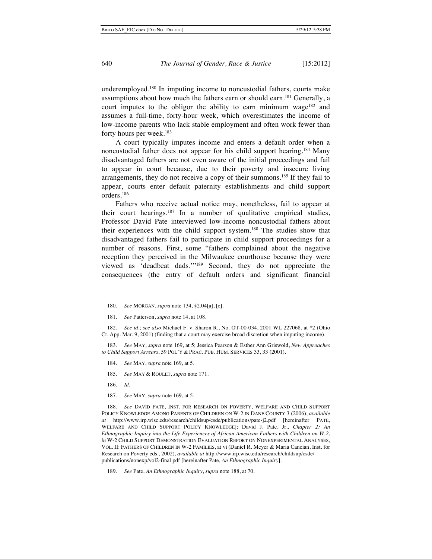underemployed.180 In imputing income to noncustodial fathers, courts make assumptions about how much the fathers earn or should earn.<sup>181</sup> Generally, a court imputes to the obligor the ability to earn minimum wage<sup>182</sup> and assumes a full-time, forty-hour week, which overestimates the income of low-income parents who lack stable employment and often work fewer than forty hours per week.183

A court typically imputes income and enters a default order when a noncustodial father does not appear for his child support hearing.184 Many disadvantaged fathers are not even aware of the initial proceedings and fail to appear in court because, due to their poverty and insecure living arrangements, they do not receive a copy of their summons.<sup>185</sup> If they fail to appear, courts enter default paternity establishments and child support orders.186

Fathers who receive actual notice may, nonetheless, fail to appear at their court hearings.187 In a number of qualitative empirical studies, Professor David Pate interviewed low-income noncustodial fathers about their experiences with the child support system.188 The studies show that disadvantaged fathers fail to participate in child support proceedings for a number of reasons. First, some "fathers complained about the negative reception they perceived in the Milwaukee courthouse because they were viewed as 'deadbeat dads.'"189 Second, they do not appreciate the consequences (the entry of default orders and significant financial

183. *See* MAY, *supra* note 169, at 5; Jessica Pearson & Esther Ann Griswold, *New Approaches to Child Support Arrears*, 59 POL'Y & PRAC. PUB. HUM. SERVICES 33, 33 (2001).

- 184. *See* MAY, *supra* note 169, at 5.
- 185. *See* MAY & ROULET, *supra* note 171.
- 186. *Id.*
- 187. *See* MAY, *supra* note 169, at 5.

188. *See* DAVID PATE, INST. FOR RESEARCH ON POVERTY, WELFARE AND CHILD SUPPORT POLICY KNOWLEDGE AMONG PARENTS OF CHILDREN ON W-2 IN DANE COUNTY 3 (2006), *available at* http://www.irp.wisc.edu/research/childsup/csde/publications/pate-j2.pdf [hereinafter PATE, WELFARE AND CHILD SUPPORT POLICY KNOWLEDGE]; David J. Pate, Jr., *Chapter 2: An Ethnographic Inquiry into the Life Experiences of African American Fathers with Children on W-2*, *in* W-2 CHILD SUPPORT DEMONSTRATION EVALUATION REPORT ON NONEXPERIMENTAL ANALYSES, VOL. II: FATHERS OF CHILDREN IN W-2 FAMILIES, at vi (Daniel R. Meyer & Maria Cancian, Inst. for Research on Poverty eds., 2002), *available at* http://www.irp.wisc.edu/research/childsup/csde/ publications/nonexp/vol2-final.pdf [hereinafter Pate, *An Ethnographic Inquiry*].

189. *See* Pate, *An Ethnographic Inquiry*, *supra* note 188, at 70.

<sup>180.</sup> *See* MORGAN, *supra* note 134, §2.04[a], [c].

<sup>181.</sup> *See* Patterson, *supra* note 14, at 108.

<sup>182.</sup> *See id.*; *see also* Michael F. v. Sharon R., No. OT-00-034, 2001 WL 227068, at \*2 (Ohio Ct. App. Mar. 9, 2001) (finding that a court may exercise broad discretion when imputing income).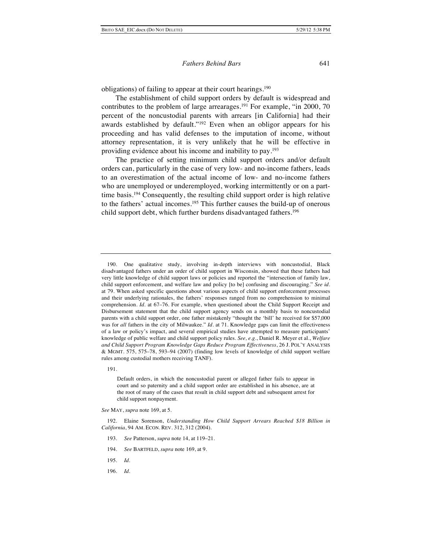obligations) of failing to appear at their court hearings.<sup>190</sup>

The establishment of child support orders by default is widespread and contributes to the problem of large arrearages.<sup>191</sup> For example, "in 2000, 70 percent of the noncustodial parents with arrears [in California] had their awards established by default."<sup>192</sup> Even when an obligor appears for his proceeding and has valid defenses to the imputation of income, without attorney representation, it is very unlikely that he will be effective in providing evidence about his income and inability to pay.193

The practice of setting minimum child support orders and/or default orders can, particularly in the case of very low- and no-income fathers, leads to an overestimation of the actual income of low- and no-income fathers who are unemployed or underemployed, working intermittently or on a parttime basis.194 Consequently, the resulting child support order is high relative to the fathers' actual incomes.195 This further causes the build-up of onerous child support debt, which further burdens disadvantaged fathers.196

191.

Default orders, in which the noncustodial parent or alleged father fails to appear in court and so paternity and a child support order are established in his absence, are at the root of many of the cases that result in child support debt and subsequent arrest for child support nonpayment.

*See* MAY, *supra* note 169, at 5.

192. Elaine Sorenson, *Understanding How Child Support Arrears Reached \$18 Billion in California*, 94 AM. ECON. REV. 312, 312 (2004).

- 193. *See* Patterson, *supra* note 14, at 119–21.
- 194. *See* BARTFELD, *supra* note 169, at 9.
- 195. *Id.*
- 196. *Id.*

<sup>190.</sup> One qualitative study, involving in-depth interviews with noncustodial, Black disadvantaged fathers under an order of child support in Wisconsin, showed that these fathers had very little knowledge of child support laws or policies and reported the "intersection of family law, child support enforcement, and welfare law and policy [to be] confusing and discouraging." *See id.* at 79. When asked specific questions about various aspects of child support enforcement processes and their underlying rationales, the fathers' responses ranged from no comprehension to minimal comprehension. *Id*. at 67–76. For example, when questioned about the Child Support Receipt and Disbursement statement that the child support agency sends on a monthly basis to noncustodial parents with a child support order, one father mistakenly "thought the 'bill' he received for \$57,000 was for *all* fathers in the city of Milwaukee." *Id*. at 71. Knowledge gaps can limit the effectiveness of a law or policy's impact, and several empirical studies have attempted to measure participants' knowledge of public welfare and child support policy rules. *See, e.g.*, Daniel R. Meyer et al., *Welfare and Child Support Program Knowledge Gaps Reduce Program Effectiveness*, 26 J. POL'Y ANALYSIS & MGMT. 575, 575–78, 593–94 (2007) (finding low levels of knowledge of child support welfare rules among custodial mothers receiving TANF).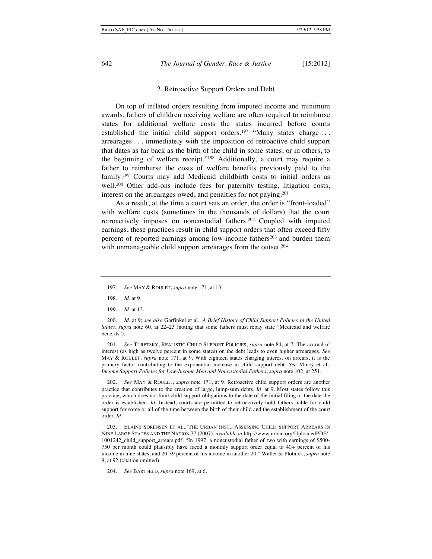#### 2. Retroactive Support Orders and Debt

On top of inflated orders resulting from imputed income and minimum awards, fathers of children receiving welfare are often required to reimburse states for additional welfare costs the states incurred before courts established the initial child support orders.<sup>197</sup> "Many states charge ... arrearages . . . immediately with the imposition of retroactive child support that dates as far back as the birth of the child in some states, or in others, to the beginning of welfare receipt."198 Additionally, a court may require a father to reimburse the costs of welfare benefits previously paid to the family.199 Courts may add Medicaid childbirth costs to initial orders as well.<sup>200</sup> Other add-ons include fees for paternity testing, litigation costs, interest on the arrearages owed, and penalties for not paying.201

As a result, at the time a court sets an order, the order is "front-loaded" with welfare costs (sometimes in the thousands of dollars) that the court retroactively imposes on noncustodial fathers.<sup>202</sup> Coupled with imputed earnings, these practices result in child support orders that often exceed fifty percent of reported earnings among low-income fathers<sup>203</sup> and burden them with unmanageable child support arrearages from the outset.<sup>204</sup>

199. *Id.* at 13.

200. *Id.* at 9; *see also* Garfinkel et al., *A Brief History of Child Support Policies in the United States*, *supra* note 60, at 22–23 (noting that some fathers must repay state "Medicaid and welfare benefits").

201. *See* TURETSKY, REALISTIC CHILD SUPPORT POLICIES, *supra* note 84, at 7*.* The accrual of interest (as high as twelve percent in some states) on the debt leads to even higher arrearages. *See* MAY & ROULET, *supra* note 171, at 9. With eighteen states charging interest on arrears, it is the primary factor contributing to the exponential increase in child support debt. *See* Mincy et al., *Income Support Policies for Low-Income Men and Noncustodial Fathers*, *supra* note 102, at 251.

202. *See* MAY & ROULET, *supra* note 171, at 9. Retroactive child support orders are another practice that contributes to the creation of large, lump-sum debts. *Id.* at 9. Most states follow this practice, which does not limit child support obligations to the date of the initial filing or the date the order is established. *Id.* Instead, courts are permitted to retroactively hold fathers liable for child support for some or all of the time between the birth of their child and the establishment of the court order. *Id.*

203. ELAINE SORENSEN ET AL., THE URBAN INST., ASSESSING CHILD SUPPORT ARREARS IN NINE LARGE STATES AND THE NATION 77 (2007), *available at* http://www.urban.org/UploadedPDF/ 1001242\_child\_support\_arrears.pdf. "In 1997, a noncustodial father of two with earnings of \$500- 750 per month could plausibly have faced a monthly support order equal to 40+ percent of his income in nine states, and 20-39 percent of his income in another 20." Waller & Plotnick, *supra* note 9, at 92 (citation omitted).

204. *See* BARTFELD, *supra* note 169, at 6.

<sup>197.</sup> *See* MAY & ROULET, *supra* note 171, at 13.

<sup>198.</sup> *Id*. at 9.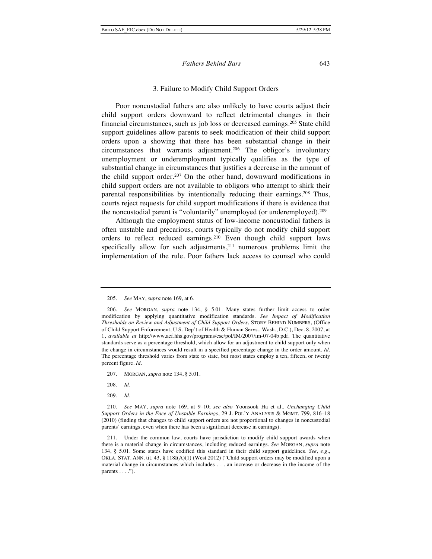#### 3. Failure to Modify Child Support Orders

Poor noncustodial fathers are also unlikely to have courts adjust their child support orders downward to reflect detrimental changes in their financial circumstances, such as job loss or decreased earnings.205 State child support guidelines allow parents to seek modification of their child support orders upon a showing that there has been substantial change in their circumstances that warrants adjustment.206 The obligor's involuntary unemployment or underemployment typically qualifies as the type of substantial change in circumstances that justifies a decrease in the amount of the child support order.<sup>207</sup> On the other hand, downward modifications in child support orders are not available to obligors who attempt to shirk their parental responsibilities by intentionally reducing their earnings.208 Thus, courts reject requests for child support modifications if there is evidence that the noncustodial parent is "voluntarily" unemployed (or underemployed).209

Although the employment status of low-income noncustodial fathers is often unstable and precarious, courts typically do not modify child support orders to reflect reduced earnings.210 Even though child support laws specifically allow for such adjustments, $2^{11}$  numerous problems limit the implementation of the rule. Poor fathers lack access to counsel who could

- 207. MORGAN, *supra* note 134, § 5.01.
- 208. *Id*.
- 209. *Id*.

<sup>205.</sup> *See* MAY, *supra* note 169, at 6.

<sup>206.</sup> *See* MORGAN, *supra* note 134, § 5.01. Many states further limit access to order modification by applying quantitative modification standards. *See Impact of Modification Thresholds on Review and Adjustment of Child Support Orders*, STORY BEHIND NUMBERS, (Office of Child Support Enforcement, U.S. Dep't of Health & Human Servs., Wash., D.C.), Dec. 8, 2007, at 1, *available at* http://www.acf.hhs.gov/programs/cse/pol/IM/2007/im-07-04b.pdf. The quantitative standards serve as a percentage threshold, which allow for an adjustment to child support only when the change in circumstances would result in a specified percentage change in the order amount. *Id.* The percentage threshold varies from state to state, but most states employ a ten, fifteen, or twenty percent figure*. Id*.

<sup>210.</sup> *See* MAY, *supra* note 169, at 9–10; *see also* Yoonsook Ha et al., *Unchanging Child Support Orders in the Face of Unstable Earnings*, 29 J. POL'Y ANALYSIS & MGMT. 799, 816–18 (2010) (finding that changes to child support orders are not proportional to changes in noncustodial parents' earnings, even when there has been a significant decrease in earnings).

<sup>211.</sup> Under the common law, courts have jurisdiction to modify child support awards when there is a material change in circumstances, including reduced earnings. *See* MORGAN, *supra* note 134, § 5.01. Some states have codified this standard in their child support guidelines. *See, e.g.*, OKLA. STAT. ANN. tit. 43, § 118I(A)(1) (West 2012) ("Child support orders may be modified upon a material change in circumstances which includes . . . an increase or decrease in the income of the parents  $\dots$ .").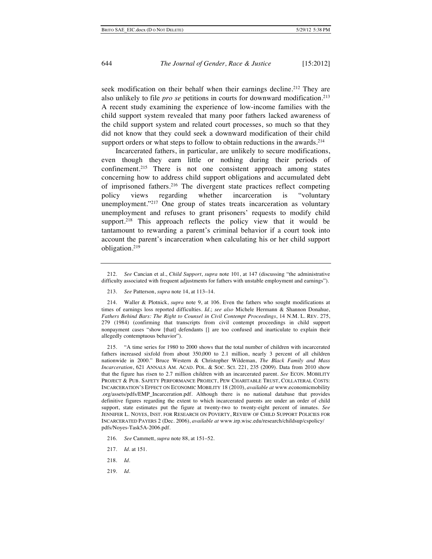seek modification on their behalf when their earnings decline.<sup>212</sup> They are also unlikely to file *pro se* petitions in courts for downward modification.213 A recent study examining the experience of low-income families with the child support system revealed that many poor fathers lacked awareness of the child support system and related court processes, so much so that they did not know that they could seek a downward modification of their child support orders or what steps to follow to obtain reductions in the awards.<sup>214</sup>

Incarcerated fathers, in particular, are unlikely to secure modifications, even though they earn little or nothing during their periods of confinement.215 There is not one consistent approach among states concerning how to address child support obligations and accumulated debt of imprisoned fathers.216 The divergent state practices reflect competing policy views regarding whether incarceration is "voluntary unemployment."217 One group of states treats incarceration as voluntary unemployment and refuses to grant prisoners' requests to modify child support.<sup>218</sup> This approach reflects the policy view that it would be tantamount to rewarding a parent's criminal behavior if a court took into account the parent's incarceration when calculating his or her child support obligation.219

215. "A time series for 1980 to 2000 shows that the total number of children with incarcerated fathers increased sixfold from about 350,000 to 2.1 million, nearly 3 percent of all children nationwide in 2000." Bruce Western & Christopher Wildeman, *The Black Family and Mass Incarceration*, 621 ANNALS AM. ACAD. POL. & SOC. SCI. 221, 235 (2009). Data from 2010 show that the figure has risen to 2.7 million children with an incarcerated parent. *See* ECON. MOBILITY PROJECT & PUB. SAFETY PERFORMANCE PROJECT, PEW CHARITABLE TRUST, COLLATERAL COSTS: INCARCERATION'S EFFECT ON ECONOMIC MOBILITY 18 (2010), *available at* www.economicmobility .org/assets/pdfs/EMP\_Incarceration.pdf. Although there is no national database that provides definitive figures regarding the extent to which incarcerated parents are under an order of child support, state estimates put the figure at twenty-two to twenty-eight percent of inmates. *See* JENNIFER L. NOYES, INST. FOR RESEARCH ON POVERTY, REVIEW OF CHILD SUPPORT POLICIES FOR INCARCERATED PAYERS 2 (Dec. 2006), *available at* www.irp.wisc.edu/research/childsup/cspolicy/ pdfs/Noyes-Task5A-2006.pdf.

219. *Id.*

<sup>212.</sup> *See* Cancian et al., *Child Support*, *supra* note 101, at 147 (discussing "the administrative difficulty associated with frequent adjustments for fathers with unstable employment and earnings").

<sup>213.</sup> *See* Patterson, *supra* note 14, at 113–14.

<sup>214.</sup> Waller & Plotnick, *supra* note 9, at 106. Even the fathers who sought modifications at times of earnings loss reported difficulties. *Id*.; *see also* Michele Hermann & Shannon Donahue, *Fathers Behind Bars: The Right to Counsel in Civil Contempt Proceedings*, 14 N.M. L. REV. 275, 279 (1984) (confirming that transcripts from civil contempt proceedings in child support nonpayment cases "show [that] defendants [] are too confused and inarticulate to explain their allegedly contemptuous behavior").

<sup>216.</sup> *See* Cammett, *supra* note 88, at 151–52.

<sup>217.</sup> *Id*. at 151.

<sup>218.</sup> *Id*.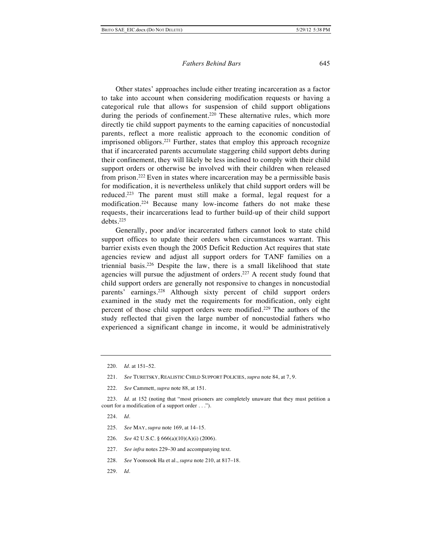Other states' approaches include either treating incarceration as a factor to take into account when considering modification requests or having a categorical rule that allows for suspension of child support obligations during the periods of confinement.<sup>220</sup> These alternative rules, which more directly tie child support payments to the earning capacities of noncustodial parents, reflect a more realistic approach to the economic condition of imprisoned obligors.<sup>221</sup> Further, states that employ this approach recognize that if incarcerated parents accumulate staggering child support debts during their confinement, they will likely be less inclined to comply with their child support orders or otherwise be involved with their children when released from prison.222 Even in states where incarceration may be a permissible basis for modification, it is nevertheless unlikely that child support orders will be reduced.223 The parent must still make a formal, legal request for a modification.224 Because many low-income fathers do not make these requests, their incarcerations lead to further build-up of their child support debts.225

Generally, poor and/or incarcerated fathers cannot look to state child support offices to update their orders when circumstances warrant. This barrier exists even though the 2005 Deficit Reduction Act requires that state agencies review and adjust all support orders for TANF families on a triennial basis. 226 Despite the law, there is a small likelihood that state agencies will pursue the adjustment of orders.<sup>227</sup> A recent study found that child support orders are generally not responsive to changes in noncustodial parents' earnings.228 Although sixty percent of child support orders examined in the study met the requirements for modification, only eight percent of those child support orders were modified.229 The authors of the study reflected that given the large number of noncustodial fathers who experienced a significant change in income, it would be administratively

223. *Id.* at 152 (noting that "most prisoners are completely unaware that they must petition a court for a modification of a support order . . .").

- 225. *See* MAY, *supra* note 169, at 14–15.
- 226. *See* 42 U.S.C. § 666(a)(10)(A)(i) (2006).
- 227. *See infra* notes 229–30 and accompanying text.
- 228. *See* Yoonsook Ha et al., *supra* note 210, at 817–18.
- 229. *Id*.

<sup>220.</sup> *Id.* at 151–52.

<sup>221.</sup> *See* TURETSKY, REALISTIC CHILD SUPPORT POLICIES, *supra* note 84, at 7, 9.

<sup>222.</sup> *See* Cammett, *supra* note 88, at 151.

<sup>224.</sup> *Id.*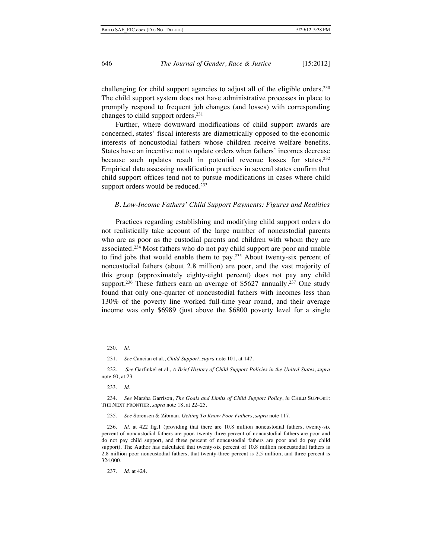challenging for child support agencies to adjust all of the eligible orders.<sup>230</sup> The child support system does not have administrative processes in place to promptly respond to frequent job changes (and losses) with corresponding changes to child support orders.231

Further, where downward modifications of child support awards are concerned, states' fiscal interests are diametrically opposed to the economic interests of noncustodial fathers whose children receive welfare benefits. States have an incentive not to update orders when fathers' incomes decrease because such updates result in potential revenue losses for states.<sup>232</sup> Empirical data assessing modification practices in several states confirm that child support offices tend not to pursue modifications in cases where child support orders would be reduced.<sup>233</sup>

#### *B. Low-Income Fathers' Child Support Payments: Figures and Realities*

Practices regarding establishing and modifying child support orders do not realistically take account of the large number of noncustodial parents who are as poor as the custodial parents and children with whom they are associated.234 Most fathers who do not pay child support are poor and unable to find jobs that would enable them to pay.<sup>235</sup> About twenty-six percent of noncustodial fathers (about 2.8 million) are poor, and the vast majority of this group (approximately eighty-eight percent) does not pay any child support.<sup>236</sup> These fathers earn an average of \$5627 annually.<sup>237</sup> One study found that only one-quarter of noncustodial fathers with incomes less than 130% of the poverty line worked full-time year round, and their average income was only \$6989 (just above the \$6800 poverty level for a single

231. *See* Cancian et al., *Child Support*, *supra* note 101, at 147.

232. *See* Garfinkel et al., *A Brief History of Child Support Policies in the United States*, *supra* note 60, at 23.

233. *Id.*

234. *See* Marsha Garrison, *The Goals and Limits of Child Support Policy*, *in* CHILD SUPPORT: THE NEXT FRONTIER, *supra* note 18, at 22–25.

235. *See* Sorensen & Zibman, *Getting To Know Poor Fathers*, *supra* note 117.

236. *Id*. at 422 fig.1 (providing that there are 10.8 million noncustodial fathers, twenty-six percent of noncustodial fathers are poor, twenty-three percent of noncustodial fathers are poor and do not pay child support, and three percent of noncustodial fathers are poor and do pay child support). The Author has calculated that twenty-six percent of 10.8 million noncustodial fathers is 2.8 million poor noncustodial fathers, that twenty-three percent is 2.5 million, and three percent is 324,000.

237. *Id.* at 424.

<sup>230.</sup> *Id*.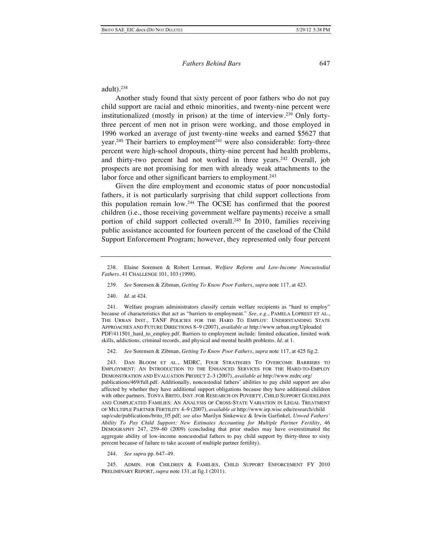adult $)$ .<sup>238</sup>

Another study found that sixty percent of poor fathers who do not pay child support are racial and ethnic minorities, and twenty-nine percent were institutionalized (mostly in prison) at the time of interview.239 Only fortythree percent of men not in prison were working, and those employed in 1996 worked an average of just twenty-nine weeks and earned \$5627 that year.240 Their barriers to employment 241 were also considerable: forty-three percent were high-school dropouts, thirty-nine percent had health problems, and thirty-two percent had not worked in three years.<sup>242</sup> Overall, job prospects are not promising for men with already weak attachments to the labor force and other significant barriers to employment.<sup>243</sup>

Given the dire employment and economic status of poor noncustodial fathers, it is not particularly surprising that child support collections from this population remain low.244 The OCSE has confirmed that the poorest children (i.e., those receiving government welfare payments) receive a small portion of child support collected overall.245 In 2010, families receiving public assistance accounted for fourteen percent of the caseload of the Child Support Enforcement Program; however, they represented only four percent

240. *Id.* at 424.

241. Welfare program administrators classify certain welfare recipients as "hard to employ" because of characteristics that act as "barriers to employment." *See, e.g*., PAMELA LOPREST ET AL., THE URBAN INST., TANF POLICIES FOR THE HARD TO EMPLOY: UNDERSTANDING STATE APPROACHES AND FUTURE DIRECTIONS 8–9 (2007), *available at* http://www.urban.org/Uploaded PDF/411501\_hard\_to\_employ.pdf. Barriers to employment include: limited education, limited work skills, addictions, criminal records, and physical and mental health problems*. Id*. at 1.

242. *See* Sorensen & Zibman, *Getting To Know Poor Fathers*, *supra* note 117, at 425 fig.2.

243. DAN BLOOM ET AL., MDRC, FOUR STRATEGIES TO OVERCOME BARRIERS TO EMPLOYMENT: AN INTRODUCTION TO THE ENHANCED SERVICES FOR THE HARD-TO-EMPLOY DEMONSTRATION AND EVALUATION PROJECT 2–3 (2007), *available at* http://www.mdrc.org/ publications/469/full.pdf. Additionally, noncustodial fathers' abilities to pay child support are also affected by whether they have additional support obligations because they have additional children with other partners. TONYA BRITO, INST. FOR RESEARCH ON POVERTY, CHILD SUPPORT GUIDELINES AND COMPLICATED FAMILIES: AN ANALYSIS OF CROSS-STATE VARIATION IN LEGAL TREATMENT OF MULTIPLE PARTNER FERTILITY 4–9 (2007), *available at* http://www.irp.wisc.edu/research/child sup/csde/publications/brito\_05.pdf; *see also* Marilyn Sinkewicz & Irwin Garfinkel, *Unwed Fathers' Ability To Pay Child Support: New Estimates Accounting for Multiple Partner Fertility*, 46 DEMOGRAPHY 247, 259–60 (2009) (concluding that prior studies may have overestimated the aggregate ability of low-income noncustodial fathers to pay child support by thirty-three to sixty percent because of failure to take account of multiple partner fertility).

244. *See supra* pp. 647–49.

245. ADMIN. FOR CHILDREN & FAMILIES, CHILD SUPPORT ENFORCEMENT FY 2010 PRELIMINARY REPORT, *supra* note 131, at fig.1 (2011).

<sup>238.</sup> Elaine Sorensen & Robert Lerman, *Welfare Reform and Low-Income Noncustodial Fathers*, 41 CHALLENGE 101, 103 (1998).

<sup>239.</sup> *See* Sorensen & Zibman, *Getting To Know Poor Fathers*, *supra* note 117, at 423.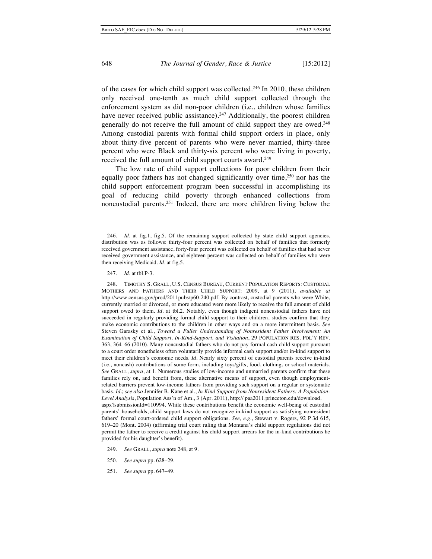of the cases for which child support was collected.246 In 2010, these children only received one-tenth as much child support collected through the enforcement system as did non-poor children (i.e., children whose families have never received public assistance).<sup>247</sup> Additionally, the poorest children generally do not receive the full amount of child support they are owed.<sup>248</sup> Among custodial parents with formal child support orders in place, only about thirty-five percent of parents who were never married, thirty-three percent who were Black and thirty-six percent who were living in poverty, received the full amount of child support courts award.<sup>249</sup>

The low rate of child support collections for poor children from their equally poor fathers has not changed significantly over time, $250$  nor has the child support enforcement program been successful in accomplishing its goal of reducing child poverty through enhanced collections from noncustodial parents.251 Indeed, there are more children living below the

248. TIMOTHY S. GRALL, U.S. CENSUS BUREAU, CURRENT POPULATION REPORTS: CUSTODIAL MOTHERS AND FATHERS AND THEIR CHILD SUPPORT: 2009, at 9 (2011), *available at* http://www.census.gov/prod/2011pubs/p60-240.pdf. By contrast, custodial parents who were White, currently married or divorced, or more educated were more likely to receive the full amount of child support owed to them*. Id.* at tbl.2. Notably, even though indigent noncustodial fathers have not succeeded in regularly providing formal child support to their children, studies confirm that they make economic contributions to the children in other ways and on a more intermittent basis. *See*  Steven Garasky et al., *Toward a Fuller Understanding of Nonresident Father Involvement: An Examination of Child Support, In-Kind-Support, and Visitation*, 29 POPULATION RES. POL'Y REV. 363, 364–66 (2010). Many noncustodial fathers who do not pay formal cash child support pursuant to a court order nonetheless often voluntarily provide informal cash support and/or in-kind support to meet their children's economic needs. *Id.* Nearly sixty percent of custodial parents receive in-kind (i.e., noncash) contributions of some form, including toys/gifts, food, clothing, or school materials. *See* GRALL, *supra*, at 1. Numerous studies of low-income and unmarried parents confirm that these families rely on, and benefit from, these alternative means of support, even though employmentrelated barriers prevent low-income fathers from providing such support on a regular or systematic basis. *Id.*; *see also* Jennifer B. Kane et al., *In Kind Support from Nonresident Fathers: A Population-Level Analysis*, Population Ass'n of Am., 3 (Apr. 2011), http:// paa2011.princeton.edu/download. aspx?submissionId=110994. While these contributions benefit the economic well-being of custodial parents' households, child support laws do not recognize in-kind support as satisfying nonresident fathers' formal court-ordered child support obligations. *See, e.g*., Stewart v. Rogers, 92 P.3d 615, 619–20 (Mont. 2004) (affirming trial court ruling that Montana's child support regulations did not permit the father to receive a credit against his child support arrears for the in-kind contributions he provided for his daughter's benefit).

- 249. *See* GRALL, *supra* note 248, at 9.
- 250. *See supra* pp. 628–29.
- 251. *See supra* pp. 647–49.

<sup>246.</sup> *Id.* at fig.1, fig.5. Of the remaining support collected by state child support agencies, distribution was as follows: thirty-four percent was collected on behalf of families that formerly received government assistance, forty-four percent was collected on behalf of families that had never received government assistance, and eighteen percent was collected on behalf of families who were then receiving Medicaid. *Id*. at fig.5.

<sup>247.</sup> *Id.* at tbl.P-3.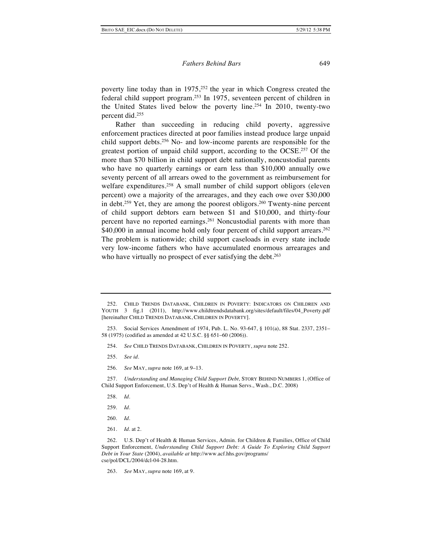poverty line today than in 1975,<sup>252</sup> the year in which Congress created the federal child support program.253 In 1975, seventeen percent of children in the United States lived below the poverty line.254 In 2010, twenty-two percent did.255

Rather than succeeding in reducing child poverty, aggressive enforcement practices directed at poor families instead produce large unpaid child support debts.256 No- and low-income parents are responsible for the greatest portion of unpaid child support, according to the OCSE.257 Of the more than \$70 billion in child support debt nationally, noncustodial parents who have no quarterly earnings or earn less than \$10,000 annually owe seventy percent of all arrears owed to the government as reimbursement for welfare expenditures.<sup>258</sup> A small number of child support obligors (eleven percent) owe a majority of the arrearages, and they each owe over \$30,000 in debt.259 Yet, they are among the poorest obligors.260 Twenty-nine percent of child support debtors earn between \$1 and \$10,000, and thirty-four percent have no reported earnings.261 Noncustodial parents with more than \$40,000 in annual income hold only four percent of child support arrears.<sup>262</sup> The problem is nationwide; child support caseloads in every state include very low-income fathers who have accumulated enormous arrearages and who have virtually no prospect of ever satisfying the debt.<sup>263</sup>

- 254. *See* CHILD TRENDS DATABANK, CHILDREN IN POVERTY, *supra* note 252.
- 255. *See id.*
- 256. *See* MAY, *supra* note 169, at 9–13.

257. *Understanding and Managing Child Support Debt,* STORY BEHIND NUMBERS 1, (Office of Child Support Enforcement, U.S. Dep't of Health & Human Servs., Wash., D.C. 2008)

- 258. *Id.*
- 259. *Id.*
- 260. *Id.*
- 261. *Id.* at 2.

263. *See* MAY, *supra* note 169, at 9.

<sup>252.</sup> CHILD TRENDS DATABANK, CHILDREN IN POVERTY: INDICATORS ON CHILDREN AND YOUTH 3 fig.1 (2011), http://www.childtrendsdatabank.org/sites/default/files/04\_Poverty.pdf [hereinafter CHILD TRENDS DATABANK, CHILDREN IN POVERTY].

<sup>253.</sup> Social Services Amendment of 1974, Pub. L. No. 93-647, § 101(a), 88 Stat. 2337, 2351– 58 (1975) (codified as amended at 42 U.S.C. §§ 651–60 (2006)).

<sup>262.</sup> U.S. Dep't of Health & Human Services, Admin. for Children & Families, Office of Child Support Enforcement, *Understanding Child Support Debt: A Guide To Exploring Child Support Debt in Your State* (2004), *available at* http://www.acf.hhs.gov/programs/ cse/pol/DCL/2004/dcl-04-28.htm.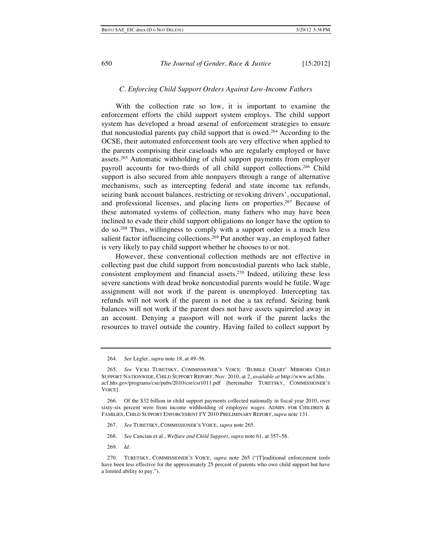## *C. Enforcing Child Support Orders Against Low-Income Fathers*

With the collection rate so low, it is important to examine the enforcement efforts the child support system employs. The child support system has developed a broad arsenal of enforcement strategies to ensure that noncustodial parents pay child support that is owed.264 According to the OCSE, their automated enforcement tools are very effective when applied to the parents comprising their caseloads who are regularly employed or have assets.265 Automatic withholding of child support payments from employer payroll accounts for two-thirds of all child support collections.266 Child support is also secured from able nonpayers through a range of alternative mechanisms, such as intercepting federal and state income tax refunds, seizing bank account balances, restricting or revoking drivers', occupational, and professional licenses, and placing liens on properties.267 Because of these automated systems of collection, many fathers who may have been inclined to evade their child support obligations no longer have the option to do so.268 Thus, willingness to comply with a support order is a much less salient factor influencing collections.<sup>269</sup> Put another way, an employed father is very likely to pay child support whether he chooses to or not.

However, these conventional collection methods are not effective in collecting past due child support from noncustodial parents who lack stable, consistent employment and financial assets.270 Indeed, utilizing these less severe sanctions with dead broke noncustodial parents would be futile. Wage assignment will not work if the parent is unemployed. Intercepting tax refunds will not work if the parent is not due a tax refund. Seizing bank balances will not work if the parent does not have assets squirreled away in an account. Denying a passport will not work if the parent lacks the resources to travel outside the country. Having failed to collect support by

- 268. *See* Cancian et al., *Welfare and Child Support*, *supra* note 61, at 357–58.
- 269. *Id.*

<sup>264.</sup> *See* Legler, *supra* note 18, at 49–56.

<sup>265.</sup> *See* VICKI TURETSKY, COMMISSIONER'S VOICE: 'BUBBLE CHART' MIRRORS CHILD SUPPORT NATIONWIDE, CHILD SUPPORT REPORT, Nov. 2010, at 2, *available at* http://www.acf.hhs. acf.hhs.gov/programs/cse/pubs/2010/csr/csr1011.pdf [hereinafter TURETSKY, COMMISSIONER'S VOICE].

<sup>266.</sup> Of the \$32 billion in child support payments collected nationally in fiscal year 2010, over sixty-six percent were from income withholding of employee wages. ADMIN. FOR CHILDREN & FAMILIES, CHILD SUPPORT ENFORCEMENT FY 2010 PRELIMINARY REPORT, *supra* note 131.

<sup>267.</sup> *See* TURETSKY, COMMISSIONER'S VOICE, *supra* note 265.

<sup>270.</sup> TURETSKY, COMMISSIONER'S VOICE, *supra* note 265 ("[T]raditional enforcement tools have been less effective for the approximately 25 percent of parents who owe child support but have a limited ability to pay.").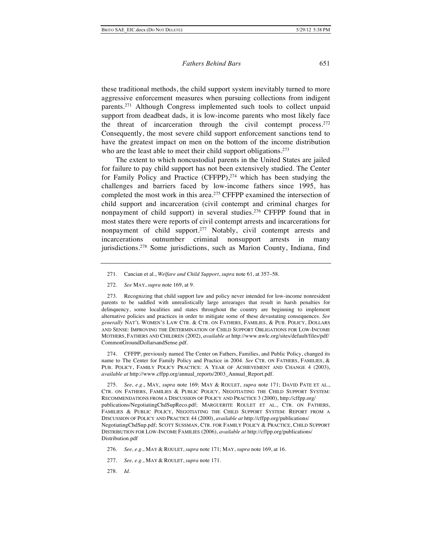these traditional methods, the child support system inevitably turned to more aggressive enforcement measures when pursuing collections from indigent parents.271 Although Congress implemented such tools to collect unpaid support from deadbeat dads, it is low-income parents who most likely face the threat of incarceration through the civil contempt process.<sup>272</sup> Consequently, the most severe child support enforcement sanctions tend to have the greatest impact on men on the bottom of the income distribution who are the least able to meet their child support obligations.<sup>273</sup>

The extent to which noncustodial parents in the United States are jailed for failure to pay child support has not been extensively studied. The Center for Family Policy and Practice (CFFPP),<sup>274</sup> which has been studying the challenges and barriers faced by low-income fathers since 1995, has completed the most work in this area.<sup>275</sup> CFFPP examined the intersection of child support and incarceration (civil contempt and criminal charges for nonpayment of child support) in several studies.<sup>276</sup> CFFPP found that in most states there were reports of civil contempt arrests and incarcerations for nonpayment of child support.<sup>277</sup> Notably, civil contempt arrests and incarcerations outnumber criminal nonsupport arrests in many jurisdictions.<sup>278</sup> Some jurisdictions, such as Marion County, Indiana, find

274. CFFPP, previously named The Center on Fathers, Families, and Public Policy, changed its name to The Center for Family Policy and Practice in 2004. *See* CTR. ON FATHERS, FAMILIES, & PUB. POLICY, FAMILY POLICY PRACTICE: A YEAR OF ACHIEVEMENT AND CHANGE 4 (2003), *available at* http://www.cffpp.org/annual\_reports/2003\_Annual\_Report.pdf.

275. *See, e.g.*, MAY, *supra* note 169; MAY & ROULET, *supra* note 171; DAVID PATE ET AL., CTR. ON FATHERS, FAMILIES & PUBLIC POLICY, NEGOTIATING THE CHILD SUPPORT SYSTEM: RECOMMENDATIONS FROM A DISCUSSION OF POLICY AND PRACTICE 3 (2000), http://cffpp.org/ publications/NegotiatingChdSupReco.pdf; MARGUERITE ROULET ET AL., CTR. ON FATHERS, FAMILIES & PUBLIC POLICY, NEGOTIATING THE CHILD SUPPORT SYSTEM: REPORT FROM A DISCUSSION OF POLICY AND PRACTICE 44 (2000), *available at* http://cffpp.org/publications/ NegotiatingChdSup.pdf; SCOTT SUSSMAN, CTR. FOR FAMILY POLICY & PRACTICE, CHILD SUPPORT DISTRIBUTION FOR LOW-INCOME FAMILIES (2006), *available at* http://cffpp.org/publications/ Distribution.pdf

<sup>271.</sup> Cancian et al., *Welfare and Child Support*, *supra* note 61, at 357–58.

<sup>272.</sup> *See* MAY, *supra* note 169, at 9.

<sup>273.</sup> Recognizing that child support law and policy never intended for low-income nonresident parents to be saddled with unrealistically large arrearages that result in harsh penalties for delinquency, some localities and states throughout the country are beginning to implement alternative policies and practices in order to mitigate some of these devastating consequences. *See generally* NAT'L WOMEN'S LAW CTR. & CTR. ON FATHERS, FAMILIES, & PUB. POLICY, DOLLARS AND SENSE: IMPROVING THE DETERMINATION OF CHILD SUPPORT OBLIGATIONS FOR LOW-INCOME MOTHERS, FATHERS AND CHILDREN (2002), *available at* http://www.nwlc.org/sites/default/files/pdf/ CommonGroundDollarsandSense.pdf.

<sup>276.</sup> *See, e.g.*, MAY & ROULET, *supra* note 171; MAY, *supra* note 169, at 16.

<sup>277.</sup> *See, e.g.*, MAY & ROULET, *supra* note 171.

<sup>278.</sup> *Id.*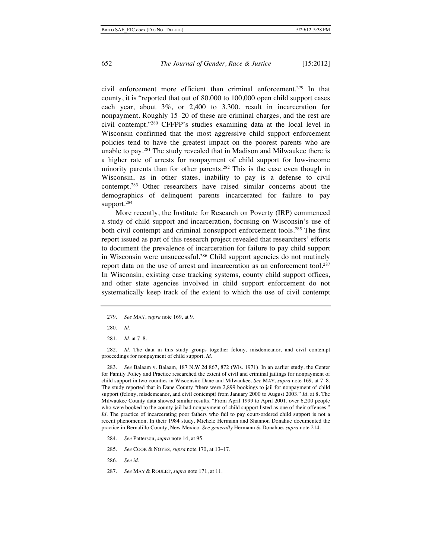civil enforcement more efficient than criminal enforcement.279 In that county, it is "reported that out of 80,000 to 100,000 open child support cases each year, about 3%, or 2,400 to 3,300, result in incarceration for nonpayment. Roughly 15–20 of these are criminal charges, and the rest are civil contempt."280 CFFPP's studies examining data at the local level in Wisconsin confirmed that the most aggressive child support enforcement policies tend to have the greatest impact on the poorest parents who are unable to pay.281 The study revealed that in Madison and Milwaukee there is a higher rate of arrests for nonpayment of child support for low-income minority parents than for other parents.282 This is the case even though in Wisconsin, as in other states, inability to pay is a defense to civil contempt.283 Other researchers have raised similar concerns about the demographics of delinquent parents incarcerated for failure to pay support.284

More recently, the Institute for Research on Poverty (IRP) commenced a study of child support and incarceration, focusing on Wisconsin's use of both civil contempt and criminal nonsupport enforcement tools.<sup>285</sup> The first report issued as part of this research project revealed that researchers' efforts to document the prevalence of incarceration for failure to pay child support in Wisconsin were unsuccessful.286 Child support agencies do not routinely report data on the use of arrest and incarceration as an enforcement tool.<sup>287</sup> In Wisconsin, existing case tracking systems, county child support offices, and other state agencies involved in child support enforcement do not systematically keep track of the extent to which the use of civil contempt

282. *Id*. The data in this study groups together felony, misdemeanor, and civil contempt proceedings for nonpayment of child support. *Id.*

283. *See* Balaam v. Balaam, 187 N.W.2d 867, 872 (Wis. 1971). In an earlier study, the Center for Family Policy and Practice researched the extent of civil and criminal jailings for nonpayment of child support in two counties in Wisconsin: Dane and Milwaukee. *See* MAY, *supra* note 169, at 7–8. The study reported that in Dane County "there were 2,899 bookings to jail for nonpayment of child support (felony, misdemeanor, and civil contempt) from January 2000 to August 2003." *Id*. at 8. The Milwaukee County data showed similar results. "From April 1999 to April 2001, over 6,200 people who were booked to the county jail had nonpayment of child support listed as one of their offenses." *Id.* The practice of incarcerating poor fathers who fail to pay court-ordered child support is not a recent phenomenon. In their 1984 study, Michele Hermann and Shannon Donahue documented the practice in Bernalillo County, New Mexico*. See generally* Hermann & Donahue, *supra* note 214.

- 284. *See* Patterson, *supra* note 14, at 95.
- 285. *See* COOK & NOYES, *supra* note 170, at 13–17.
- 286. *See id.*
- 287. *See* MAY & ROULET, *supra* note 171, at 11.

<sup>279.</sup> *See* MAY, *supra* note 169, at 9.

<sup>280.</sup> *Id.*

<sup>281.</sup> *Id*. at 7–8.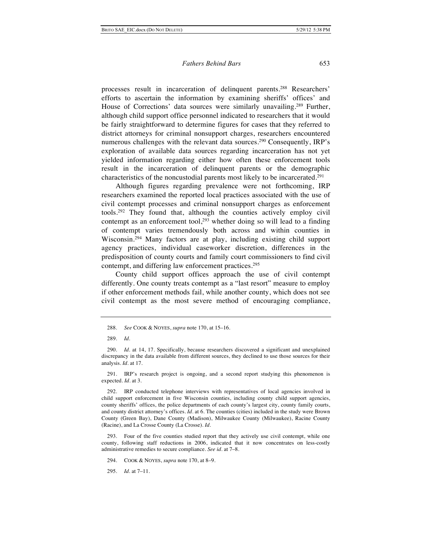processes result in incarceration of delinquent parents.288 Researchers' efforts to ascertain the information by examining sheriffs' offices' and House of Corrections' data sources were similarly unavailing.289 Further, although child support office personnel indicated to researchers that it would be fairly straightforward to determine figures for cases that they referred to district attorneys for criminal nonsupport charges, researchers encountered numerous challenges with the relevant data sources.<sup>290</sup> Consequently, IRP's exploration of available data sources regarding incarceration has not yet yielded information regarding either how often these enforcement tools result in the incarceration of delinquent parents or the demographic characteristics of the noncustodial parents most likely to be incarcerated.291

Although figures regarding prevalence were not forthcoming, IRP researchers examined the reported local practices associated with the use of civil contempt processes and criminal nonsupport charges as enforcement tools.292 They found that, although the counties actively employ civil contempt as an enforcement tool, $293$  whether doing so will lead to a finding of contempt varies tremendously both across and within counties in Wisconsin.294 Many factors are at play, including existing child support agency practices, individual caseworker discretion, differences in the predisposition of county courts and family court commissioners to find civil contempt, and differing law enforcement practices.295

County child support offices approach the use of civil contempt differently. One county treats contempt as a "last resort" measure to employ if other enforcement methods fail, while another county, which does not see civil contempt as the most severe method of encouraging compliance,

291. IRP's research project is ongoing, and a second report studying this phenomenon is expected. *Id.* at 3.

292. IRP conducted telephone interviews with representatives of local agencies involved in child support enforcement in five Wisconsin counties, including county child support agencies, county sheriffs' offices, the police departments of each county's largest city, county family courts, and county district attorney's offices. *Id*. at 6. The counties (cities) included in the study were Brown County (Green Bay), Dane County (Madison), Milwaukee County (Milwaukee), Racine County (Racine), and La Crosse County (La Crosse). *Id*.

293. Four of the five counties studied report that they actively use civil contempt, while one county, following staff reductions in 2006, indicated that it now concentrates on less-costly administrative remedies to secure compliance. *See id.* at 7–8.

294. COOK & NOYES, *supra* note 170, at 8–9.

295. *Id.* at 7–11.

<sup>288.</sup> *See* COOK & NOYES, *supra* note 170, at 15–16.

<sup>289.</sup> *Id.*

<sup>290.</sup> *Id.* at 14, 17. Specifically, because researchers discovered a significant and unexplained discrepancy in the data available from different sources, they declined to use those sources for their analysis. *Id.* at 17.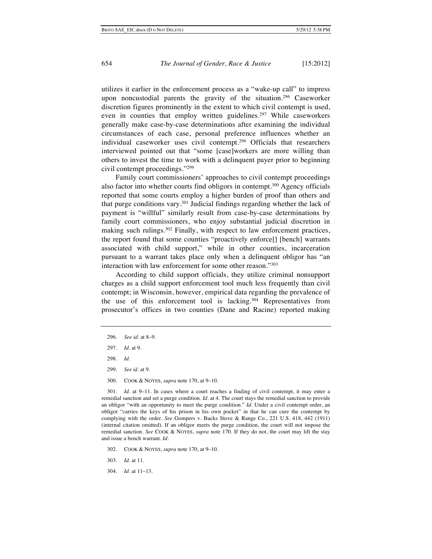utilizes it earlier in the enforcement process as a "wake-up call" to impress upon noncustodial parents the gravity of the situation.<sup>296</sup> Caseworker discretion figures prominently in the extent to which civil contempt is used, even in counties that employ written guidelines.<sup>297</sup> While caseworkers generally make case-by-case determinations after examining the individual circumstances of each case, personal preference influences whether an individual caseworker uses civil contempt.<sup>298</sup> Officials that researchers interviewed pointed out that "some [case]workers are more willing than others to invest the time to work with a delinquent payer prior to beginning civil contempt proceedings."299

Family court commissioners' approaches to civil contempt proceedings also factor into whether courts find obligors in contempt.300 Agency officials reported that some courts employ a higher burden of proof than others and that purge conditions vary.301 Judicial findings regarding whether the lack of payment is "willful" similarly result from case-by-case determinations by family court commissioners, who enjoy substantial judicial discretion in making such rulings.<sup>302</sup> Finally, with respect to law enforcement practices, the report found that some counties "proactively enforce[] [bench] warrants associated with child support," while in other counties, incarceration pursuant to a warrant takes place only when a delinquent obligor has "an interaction with law enforcement for some other reason."303

According to child support officials, they utilize criminal nonsupport charges as a child support enforcement tool much less frequently than civil contempt; in Wisconsin, however, empirical data regarding the prevalence of the use of this enforcement tool is lacking.<sup>304</sup> Representatives from prosecutor's offices in two counties (Dane and Racine) reported making

- 299. *See id.* at 9.
- 300. COOK & NOYES, *supra* note 170, at 9–10.

301. *Id.* at 9–11. In cases where a court reaches a finding of civil contempt, it may enter a remedial sanction and set a purge condition. *Id*. at 4. The court stays the remedial sanction to provide an obligor "with an opportunity to meet the purge condition." *Id*. Under a civil contempt order, an obligor "carries the keys of his prison in his own pocket" in that he can cure the contempt by complying with the order. *See* Gompers v. Bucks Stove & Range Co., 221 U.S. 418, 442 (1911) (internal citation omitted). If an obligor meets the purge condition, the court will not impose the remedial sanction. *See* COOK & NOYES, *supra* note 170. If they do not, the court may lift the stay and issue a bench warrant*. Id.*

- 302. COOK & NOYES, *supra* note 170, at 9–10.
- 303. *Id*. at 11.
- 304. *Id*. at 11–13.

<sup>296.</sup> *See id*. at 8–9.

<sup>297.</sup> *Id.* at 9.

<sup>298.</sup> *Id.*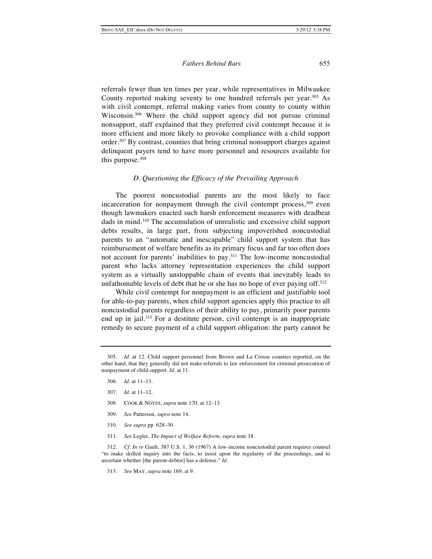referrals fewer than ten times per year, while representatives in Milwaukee County reported making seventy to one hundred referrals per year.<sup>305</sup> As with civil contempt, referral making varies from county to county within Wisconsin.306 Where the child support agency did not pursue criminal nonsupport, staff explained that they preferred civil contempt because it is more efficient and more likely to provoke compliance with a child support order.307 By contrast, counties that bring criminal nonsupport charges against delinquent payers tend to have more personnel and resources available for this purpose.<sup>308</sup>

## *D. Questioning the Efficacy of the Prevailing Approach*

The poorest noncustodial parents are the most likely to face incarceration for nonpayment through the civil contempt process, $309$  even though lawmakers enacted such harsh enforcement measures with deadbeat dads in mind.310 The accumulation of unrealistic and excessive child support debts results, in large part, from subjecting impoverished noncustodial parents to an "automatic and inescapable" child support system that has reimbursement of welfare benefits as its primary focus and far too often does not account for parents' inabilities to pay.311 The low-income noncustodial parent who lacks attorney representation experiences the child support system as a virtually unstoppable chain of events that inevitably leads to unfathomable levels of debt that he or she has no hope of ever paying off.312

While civil contempt for nonpayment is an efficient and justifiable tool for able-to-pay parents, when child support agencies apply this practice to all noncustodial parents regardless of their ability to pay, primarily poor parents end up in jail.<sup>313</sup> For a destitute person, civil contempt is an inappropriate remedy to secure payment of a child support obligation: the party cannot be

- 306. *Id.* at 11–13.
- 307. *Id.* at 11–12.
- 308. COOK & NOYES, *supra* note 170, at 12–13.
- 309. *See* Patterson, *supra* note 14.
- 310. *See supra* pp. 628–30.
- 311. *See* Legler, *The Impact of Welfare Reform*, *supra* note 18.

312. *Cf. In re* Gault, 387 U.S. 1, 36 (1967) A low-income noncustodial parent requires counsel "to make skilled inquiry into the facts, to insist upon the regularity of the proceedings, and to ascertain whether [the parent-debtor] has a defense." *Id.*

313. *See* MAY, *supra* note 169, at 9*.*

<sup>305.</sup> *Id.* at 12. Child support personnel from Brown and La Crosse counties reported, on the other hand, that they generally did not make referrals to law enforcement for criminal prosecution of nonpayment of child support. *Id*. at 11.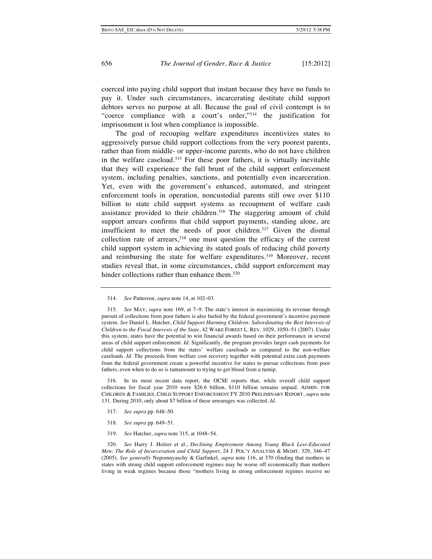coerced into paying child support that instant because they have no funds to pay it. Under such circumstances, incarcerating destitute child support debtors serves no purpose at all. Because the goal of civil contempt is to "coerce compliance with a court's order,"314 the justification for imprisonment is lost when compliance is impossible.

The goal of recouping welfare expenditures incentivizes states to aggressively pursue child support collections from the very poorest parents, rather than from middle- or upper-income parents, who do not have children in the welfare caseload.315 For these poor fathers, it is virtually inevitable that they will experience the full brunt of the child support enforcement system, including penalties, sanctions, and potentially even incarceration. Yet, even with the government's enhanced, automated, and stringent enforcement tools in operation, noncustodial parents still owe over \$110 billion to state child support systems as recoupment of welfare cash assistance provided to their children.<sup>316</sup> The staggering amount of child support arrears confirms that child support payments, standing alone, are insufficient to meet the needs of poor children.317 Given the dismal collection rate of arrears,<sup>318</sup> one must question the efficacy of the current child support system in achieving its stated goals of reducing child poverty and reimbursing the state for welfare expenditures.<sup>319</sup> Moreover, recent studies reveal that, in some circumstances, child support enforcement may hinder collections rather than enhance them.<sup>320</sup>

316. In its most recent data report, the OCSE reports that, while overall child support collections for fiscal year 2010 were \$26.6 billion, \$110 billion remains unpaid. ADMIN. FOR CHILDREN & FAMILIES, CHILD SUPPORT ENFORCEMENT FY 2010 PRELIMINARY REPORT, *supra* note 131. During 2010, only about \$7 billion of these arrearages was collected*. Id.*

- 317. *See supra* pp. 648–50.
- 318. *See supra* pp. 649–51.
- 319. *See* Hatcher, *supra* note 315, at 1048–54.

320. *See* Harry J. Holzer et al., *Declining Employment Among Young Black Less-Educated Men: The Role of Incarceration and Child Support*, 24 J. POL'Y ANALYSIS & MGMT. 329, 346–47 (2005). *See generally* Nepomnyaschy & Garfinkel, *supra* note 116, at 370 (finding that mothers in states with strong child support enforcement regimes may be worse off economically than mothers living in weak regimes because those "mothers living in strong enforcement regimes receive no

<sup>314.</sup> *See* Patterson, *supra* note 14, at 102–03.

<sup>315.</sup> *See* MAY, *supra* note 169, at 7–9*.* The state's interest in maximizing its revenue through pursuit of collections from poor fathers is also fueled by the federal government's incentive payment system. *See* Daniel L. Hatcher, *Child Support Harming Children: Subordinating the Best Interests of Children to the Fiscal Interests of the State*, 42 WAKE FOREST L. REV. 1029, 1050–51 (2007). Under this system, states have the potential to win financial awards based on their performance in several areas of child support enforcement. *Id.* Significantly, the program provides larger cash payments for child support collections from the states' welfare caseloads as compared to the non-welfare caseloads. *Id.* The proceeds from welfare cost recovery together with potential extra cash payments from the federal government create a powerful incentive for states to pursue collections from poor fathers, even when to do so is tantamount to trying to get blood from a turnip.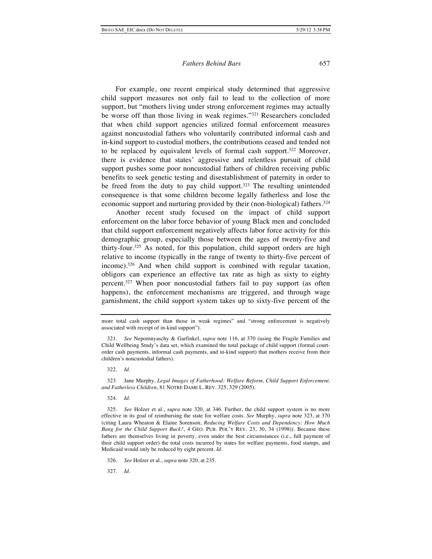For example, one recent empirical study determined that aggressive child support measures not only fail to lead to the collection of more support, but "mothers living under strong enforcement regimes may actually be worse off than those living in weak regimes."321 Researchers concluded that when child support agencies utilized formal enforcement measures against noncustodial fathers who voluntarily contributed informal cash and in-kind support to custodial mothers, the contributions ceased and tended not to be replaced by equivalent levels of formal cash support.322 Moreover, there is evidence that states' aggressive and relentless pursuit of child support pushes some poor noncustodial fathers of children receiving public benefits to seek genetic testing and disestablishment of paternity in order to be freed from the duty to pay child support.<sup>323</sup> The resulting unintended consequence is that some children become legally fatherless and lose the economic support and nurturing provided by their (non-biological) fathers.<sup>324</sup>

Another recent study focused on the impact of child support enforcement on the labor force behavior of young Black men and concluded that child support enforcement negatively affects labor force activity for this demographic group, especially those between the ages of twenty-five and thirty-four.325 As noted, for this population, child support orders are high relative to income (typically in the range of twenty to thirty-five percent of income).326 And when child support is combined with regular taxation, obligors can experience an effective tax rate as high as sixty to eighty percent.<sup>327</sup> When poor noncustodial fathers fail to pay support (as often happens), the enforcement mechanisms are triggered, and through wage garnishment, the child support system takes up to sixty-five percent of the

322. *Id.*

323. Jane Murphy, *Legal Images of Fatherhood: Welfare Reform, Child Support Enforcement, and Fatherless Children*, 81 NOTRE DAME L. REV. 325, 329 (2005).

324. *Id.*

327. *Id*.

more total cash support than those in weak regimes" and "strong enforcement is negatively associated with receipt of in-kind support").

<sup>321.</sup> *See* Nepomnyaschy & Garfinkel, *supra* note 116, at 370 (using the Fragile Families and Child Wellbeing Study's data set, which examined the total package of child support (formal courtorder cash payments, informal cash payments, and in-kind support) that mothers receive from their children's noncustodial fathers).

<sup>325.</sup> *See* Holzer et al., *supra* note 320, at 346. Further, the child support system is no more effective in its goal of reimbursing the state for welfare costs. *See* Murphy, *supra* note 323, at 370 (citing Laura Wheaton & Elaine Sorenson, *Reducing Welfare Costs and Dependency: How Much Bang for the Child Support Buck?*, 4 GEO. PUB. POL'Y REV. 23, 30, 34 (1998)). Because these fathers are themselves living in poverty, even under the best circumstances (i.e., full payment of their child support order) the total costs incurred by states for welfare payments, food stamps, and Medicaid would only be reduced by eight percent. *Id*.

<sup>326.</sup> *See* Holzer et al., *supra* note 320, at 235.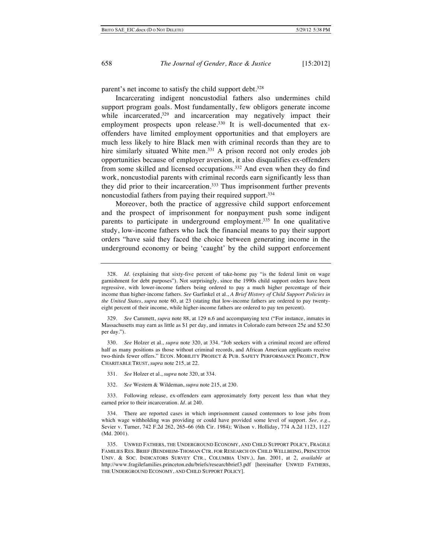parent's net income to satisfy the child support debt.<sup>328</sup>

Incarcerating indigent noncustodial fathers also undermines child support program goals. Most fundamentally, few obligors generate income while incarcerated,<sup>329</sup> and incarceration may negatively impact their employment prospects upon release.<sup>330</sup> It is well-documented that exoffenders have limited employment opportunities and that employers are much less likely to hire Black men with criminal records than they are to hire similarly situated White men.<sup>331</sup> A prison record not only erodes job opportunities because of employer aversion, it also disqualifies ex-offenders from some skilled and licensed occupations.332 And even when they do find work, noncustodial parents with criminal records earn significantly less than they did prior to their incarceration.333 Thus imprisonment further prevents noncustodial fathers from paying their required support.334

Moreover, both the practice of aggressive child support enforcement and the prospect of imprisonment for nonpayment push some indigent parents to participate in underground employment.335 In one qualitative study, low-income fathers who lack the financial means to pay their support orders "have said they faced the choice between generating income in the underground economy or being 'caught' by the child support enforcement

- 331. *See* Holzer et al., *supra* note 320, at 334.
- 332. *See* Western & Wildeman, *supra* note 215, at 230.

<sup>328.</sup> *Id*. (explaining that sixty-five percent of take-home pay "is the federal limit on wage garnishment for debt purposes"). Not surprisingly, since the 1990s child support orders have been regressive, with lower-income fathers being ordered to pay a much higher percentage of their income than higher-income fathers. *See* Garfinkel et al., *A Brief History of Child Support Policies in the United States*, *supra* note 60, at 23 (stating that low-income fathers are ordered to pay twentyeight percent of their income, while higher-income fathers are ordered to pay ten percent).

<sup>329.</sup> *See* Cammett, *supra* note 88, at 129 n.6 and accompanying text ("For instance, inmates in Massachusetts may earn as little as \$1 per day, and inmates in Colorado earn between  $25¢$  and \$2.50 per day.").

<sup>330.</sup> *See* Holzer et al., *supra* note 320, at 334. "Job seekers with a criminal record are offered half as many positions as those without criminal records, and African American applicants receive two-thirds fewer offers." ECON. MOBILITY PROJECT & PUB. SAFETY PERFORMANCE PROJECT, PEW CHARITABLE TRUST, *supra* note 215, at 22.

<sup>333.</sup> Following release, ex-offenders earn approximately forty percent less than what they earned prior to their incarceration*. Id.* at 240.

<sup>334.</sup> There are reported cases in which imprisonment caused contemnors to lose jobs from which wage withholding was providing or could have provided some level of support. *See, e.g.*, Sevier v. Turner, 742 F.2d 262, 265–66 (6th Cir. 1984); Wilson v. Holliday, 774 A.2d 1123, 1127 (Md. 2001).

<sup>335.</sup> UNWED FATHERS, THE UNDERGROUND ECONOMY, AND CHILD SUPPORT POLICY, FRAGILE FAMILIES RES. BRIEF (BENDHEIM-THOMAN CTR. FOR RESEARCH ON CHILD WELLBEING, PRINCETON UNIV. & SOC. INDICATORS SURVEY CTR., COLUMBIA UNIV.), Jan. 2001, at 2, *available at* http://www.fragilefamilies.princeton.edu/briefs/researchbrief3.pdf [hereinafter UNWED FATHERS, THE UNDERGROUND ECONOMY, AND CHILD SUPPORT POLICY].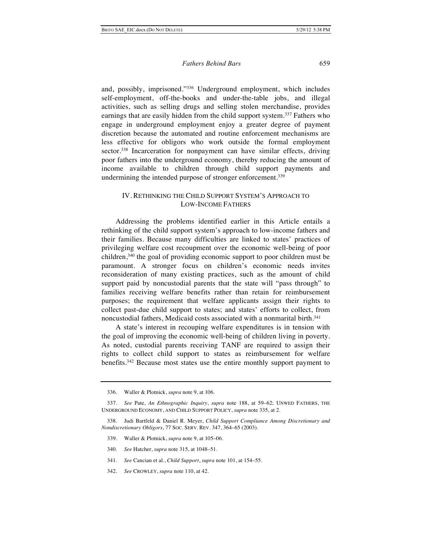and, possibly, imprisoned."336 Underground employment, which includes self-employment, off-the-books and under-the-table jobs, and illegal activities, such as selling drugs and selling stolen merchandise, provides earnings that are easily hidden from the child support system.<sup>337</sup> Fathers who engage in underground employment enjoy a greater degree of payment discretion because the automated and routine enforcement mechanisms are less effective for obligors who work outside the formal employment sector.<sup>338</sup> Incarceration for nonpayment can have similar effects, driving poor fathers into the underground economy, thereby reducing the amount of income available to children through child support payments and undermining the intended purpose of stronger enforcement.<sup>339</sup>

## IV. RETHINKING THE CHILD SUPPORT SYSTEM'S APPROACH TO LOW-INCOME FATHERS

Addressing the problems identified earlier in this Article entails a rethinking of the child support system's approach to low-income fathers and their families. Because many difficulties are linked to states' practices of privileging welfare cost recoupment over the economic well-being of poor children,340 the goal of providing economic support to poor children must be paramount. A stronger focus on children's economic needs invites reconsideration of many existing practices, such as the amount of child support paid by noncustodial parents that the state will "pass through" to families receiving welfare benefits rather than retain for reimbursement purposes; the requirement that welfare applicants assign their rights to collect past-due child support to states; and states' efforts to collect, from noncustodial fathers, Medicaid costs associated with a nonmarital birth.<sup>341</sup>

A state's interest in recouping welfare expenditures is in tension with the goal of improving the economic well-being of children living in poverty. As noted, custodial parents receiving TANF are required to assign their rights to collect child support to states as reimbursement for welfare benefits.342 Because most states use the entire monthly support payment to

- 339. Waller & Plotnick, *supra* note 9, at 105–06.
- 340. *See* Hatcher, *supra* note 315, at 1048–51.
- 341. *See* Cancian et al., *Child Support*, *supra* note 101, at 154–55.
- 342. *See* CROWLEY, *supra* note 110, at 42.

<sup>336.</sup> Waller & Plotnick, *supra* note 9, at 106.

<sup>337.</sup> *See* Pate, *An Ethnographic Inquiry*, *supra* note 188, at 59–62; UNWED FATHERS, THE UNDERGROUND ECONOMY, AND CHILD SUPPORT POLICY, *supra* note 335, at 2.

<sup>338.</sup> Judi Bartfeld & Daniel R. Meyer, *Child Support Compliance Among Discretionary and Nondiscretionary Obligors*, 77 SOC. SERV. REV. 347, 364–65 (2003).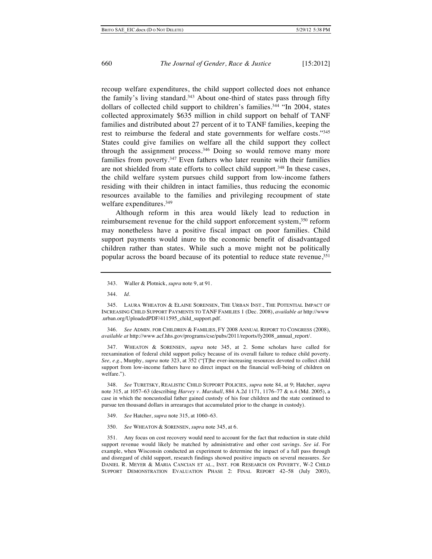recoup welfare expenditures, the child support collected does not enhance the family's living standard.<sup>343</sup> About one-third of states pass through fifty dollars of collected child support to children's families.<sup>344</sup> "In 2004, states collected approximately \$635 million in child support on behalf of TANF families and distributed about 27 percent of it to TANF families, keeping the rest to reimburse the federal and state governments for welfare costs."345 States could give families on welfare all the child support they collect through the assignment process.<sup>346</sup> Doing so would remove many more families from poverty.<sup>347</sup> Even fathers who later reunite with their families are not shielded from state efforts to collect child support.<sup>348</sup> In these cases, the child welfare system pursues child support from low-income fathers residing with their children in intact families, thus reducing the economic resources available to the families and privileging recoupment of state welfare expenditures.<sup>349</sup>

Although reform in this area would likely lead to reduction in reimbursement revenue for the child support enforcement system,<sup>350</sup> reform may nonetheless have a positive fiscal impact on poor families. Child support payments would inure to the economic benefit of disadvantaged children rather than states. While such a move might not be politically popular across the board because of its potential to reduce state revenue,351

See ADMIN. FOR CHILDREN & FAMILIES, FY 2008 ANNUAL REPORT TO CONGRESS (2008), *available at* http://www.acf.hhs.gov/programs/cse/pubs/2011/reports/fy2008\_annual\_report/.

347. WHEATON & SORENSEN, *supra* note 345, at 2. Some scholars have called for reexamination of federal child support policy because of its overall failure to reduce child poverty. *See, e.g.*, Murphy, *supra* note 323, at 352 ("[T]he ever-increasing resources devoted to collect child support from low-income fathers have no direct impact on the financial well-being of children on welfare.").

348. *See* TURETSKY, REALISTIC CHILD SUPPORT POLICIES, *supra* note 84, at 9; Hatcher, *supra*  note 315, at 1057–63 (describing *Harvey v. Marshall*, 884 A.2d 1171, 1176–77 & n.4 (Md. 2005), a case in which the noncustodial father gained custody of his four children and the state continued to pursue ten thousand dollars in arrearages that accumulated prior to the change in custody).

- 349. *See* Hatcher, *supra* note 315, at 1060–63.
- 350. *See* WHEATON & SORENSEN, *supra* note 345, at 6.

351. Any focus on cost recovery would need to account for the fact that reduction in state child support revenue would likely be matched by administrative and other cost savings. *See id.* For example, when Wisconsin conducted an experiment to determine the impact of a full pass through and disregard of child support, research findings showed positive impacts on several measures. *See* DANIEL R. MEYER & MARIA CANCIAN ET AL., INST. FOR RESEARCH ON POVERTY, W-2 CHILD SUPPORT DEMONSTRATION EVALUATION PHASE 2: FINAL REPORT 42–58 (July 2003),

<sup>343.</sup> Waller & Plotnick, *supra* note 9, at 91.

<sup>344.</sup> *Id*.

<sup>345.</sup> LAURA WHEATON & ELAINE SORENSEN, THE URBAN INST., THE POTENTIAL IMPACT OF INCREASING CHILD SUPPORT PAYMENTS TO TANF FAMILIES 1 (Dec. 2008), *available at* http://www .urban.org/UploadedPDF/411595\_child\_support.pdf.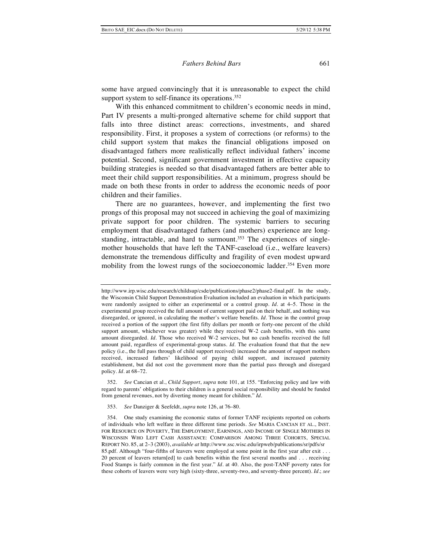some have argued convincingly that it is unreasonable to expect the child support system to self-finance its operations.<sup>352</sup>

With this enhanced commitment to children's economic needs in mind, Part IV presents a multi-pronged alternative scheme for child support that falls into three distinct areas: corrections, investments, and shared responsibility. First, it proposes a system of corrections (or reforms) to the child support system that makes the financial obligations imposed on disadvantaged fathers more realistically reflect individual fathers' income potential. Second, significant government investment in effective capacity building strategies is needed so that disadvantaged fathers are better able to meet their child support responsibilities. At a minimum, progress should be made on both these fronts in order to address the economic needs of poor children and their families.

There are no guarantees, however, and implementing the first two prongs of this proposal may not succeed in achieving the goal of maximizing private support for poor children. The systemic barriers to securing employment that disadvantaged fathers (and mothers) experience are longstanding, intractable, and hard to surmount.<sup>353</sup> The experiences of singlemother households that have left the TANF-caseload (i.e., welfare leavers) demonstrate the tremendous difficulty and fragility of even modest upward mobility from the lowest rungs of the socioeconomic ladder.<sup>354</sup> Even more

352. *See* Cancian et al., *Child Support*, *supra* note 101, at 155. "Enforcing policy and law with regard to parents' obligations to their children is a general social responsibility and should be funded from general revenues, not by diverting money meant for children." *Id.*

353. *See* Danziger & Seefeldt, *supra* note 126, at 76–80.

http://www.irp.wisc.edu/research/childsup/csde/publications/phase2/phase2-final.pdf. In the study, the Wisconsin Child Support Demonstration Evaluation included an evaluation in which participants were randomly assigned to either an experimental or a control group. *Id*. at 4–5. Those in the experimental group received the full amount of current support paid on their behalf, and nothing was disregarded, or ignored, in calculating the mother's welfare benefits*. Id.* Those in the control group received a portion of the support (the first fifty dollars per month or forty-one percent of the child support amount, whichever was greater) while they received W-2 cash benefits, with this same amount disregarded. *Id.* Those who received W-2 services, but no cash benefits received the full amount paid, regardless of experimental-group status. *Id.* The evaluation found that that the new policy (i.e., the full pass through of child support received) increased the amount of support mothers received, increased fathers' likelihood of paying child support, and increased paternity establishment, but did not cost the government more than the partial pass through and disregard policy. *Id*. at 68–72.

<sup>354.</sup> One study examining the economic status of former TANF recipients reported on cohorts of individuals who left welfare in three different time periods. *See* MARIA CANCIAN ET AL., INST. FOR RESOURCE ON POVERTY, THE EMPLOYMENT, EARNINGS, AND INCOME OF SINGLE MOTHERS IN WISCONSIN WHO LEFT CASH ASSISTANCE: COMPARISON AMONG THREE COHORTS, SPECIAL REPORT NO. 85, at 2–3 (2003), *available at* http://www.ssc.wisc.edu/irpweb/publications/sr/pdfs/sr 85.pdf. Although "four-fifths of leavers were employed at some point in the first year after exit . . . 20 percent of leavers return[ed] to cash benefits within the first several months and . . . receiving Food Stamps is fairly common in the first year." *Id.* at 40. Also, the post-TANF poverty rates for these cohorts of leavers were very high (sixty-three, seventy-two, and seventy-three percent). *Id.*; *see*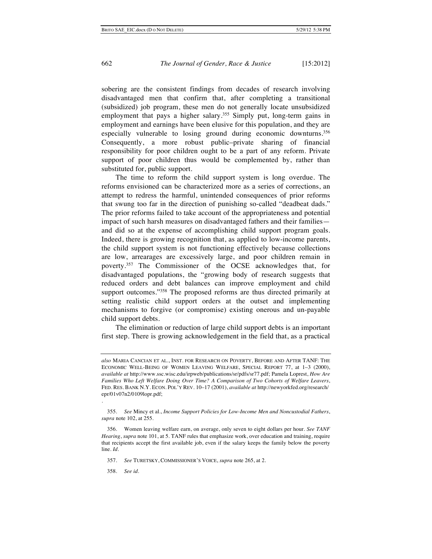sobering are the consistent findings from decades of research involving disadvantaged men that confirm that, after completing a transitional (subsidized) job program, these men do not generally locate unsubsidized employment that pays a higher salary.<sup>355</sup> Simply put, long-term gains in employment and earnings have been elusive for this population, and they are especially vulnerable to losing ground during economic downturns.356 Consequently, a more robust public–private sharing of financial responsibility for poor children ought to be a part of any reform. Private support of poor children thus would be complemented by, rather than substituted for, public support.

The time to reform the child support system is long overdue. The reforms envisioned can be characterized more as a series of corrections, an attempt to redress the harmful, unintended consequences of prior reforms that swung too far in the direction of punishing so-called "deadbeat dads." The prior reforms failed to take account of the appropriateness and potential impact of such harsh measures on disadvantaged fathers and their families and did so at the expense of accomplishing child support program goals. Indeed, there is growing recognition that, as applied to low-income parents, the child support system is not functioning effectively because collections are low, arrearages are excessively large, and poor children remain in poverty.357 The Commissioner of the OCSE acknowledges that, for disadvantaged populations, the "growing body of research suggests that reduced orders and debt balances can improve employment and child support outcomes."<sup>358</sup> The proposed reforms are thus directed primarily at setting realistic child support orders at the outset and implementing mechanisms to forgive (or compromise) existing onerous and un-payable child support debts.

The elimination or reduction of large child support debts is an important first step. There is growing acknowledgement in the field that, as a practical

358. *See id.*

.

*also* MARIA CANCIAN ET AL., INST. FOR RESEARCH ON POVERTY, BEFORE AND AFTER TANF: THE ECONOMIC WELL-BEING OF WOMEN LEAVING WELFARE, SPECIAL REPORT 77, at 1–3 (2000), *available at* http://www.ssc.wisc.edu/irpweb/publications/sr/pdfs/sr77.pdf; Pamela Loprest, *How Are Families Who Left Welfare Doing Over Time? A Comparison of Two Cohorts of Welfare Leavers*, FED. RES. BANK N.Y. ECON. POL'Y REV. 10–17 (2001), *available at* http://newyorkfed.org/research/ epr/01v07n2/0109lopr.pdf;

<sup>355.</sup> *See* Mincy et al., *Income Support Policies for Low-Income Men and Noncustodial Fathers*, *supra* note 102, at 255.

<sup>356.</sup> Women leaving welfare earn, on average, only seven to eight dollars per hour. *See TANF Hearing*, *supra* note 101, at 5. TANF rules that emphasize work, over education and training, require that recipients accept the first available job, even if the salary keeps the family below the poverty line. *Id.*

<sup>357.</sup> *See* TURETSKY, COMMISSIONER'S VOICE, *supra* note 265, at 2.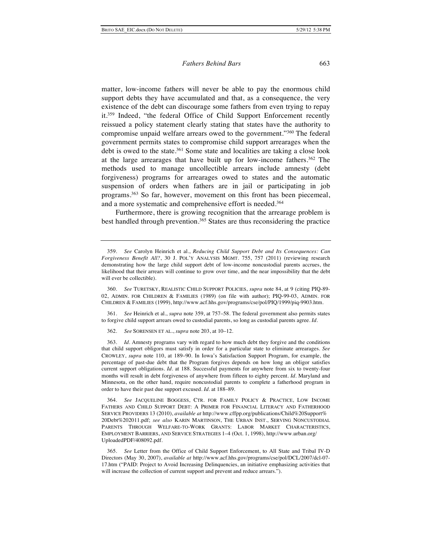matter, low-income fathers will never be able to pay the enormous child support debts they have accumulated and that, as a consequence, the very existence of the debt can discourage some fathers from even trying to repay it.359 Indeed, "the federal Office of Child Support Enforcement recently reissued a policy statement clearly stating that states have the authority to compromise unpaid welfare arrears owed to the government."360 The federal government permits states to compromise child support arrearages when the debt is owed to the state.<sup>361</sup> Some state and localities are taking a close look at the large arrearages that have built up for low-income fathers.362 The methods used to manage uncollectible arrears include amnesty (debt forgiveness) programs for arrearages owed to states and the automatic suspension of orders when fathers are in jail or participating in job programs.363 So far, however, movement on this front has been piecemeal, and a more systematic and comprehensive effort is needed.364

Furthermore, there is growing recognition that the arrearage problem is best handled through prevention.<sup>365</sup> States are thus reconsidering the practice

361. *See* Heinrich et al., *supra* note 359, at 757–58. The federal government also permits states to forgive child support arrears owed to custodial parents, so long as custodial parents agree. *Id.*

362. *See* SORENSEN ET AL., *supra* note 203, at 10–12.

363. *Id*. Amnesty programs vary with regard to how much debt they forgive and the conditions that child support obligors must satisfy in order for a particular state to eliminate arrearages. *See* CROWLEY, *supra* note 110, at 189–90. In Iowa's Satisfaction Support Program, for example, the percentage of past-due debt that the Program forgives depends on how long an obligor satisfies current support obligations. *Id.* at 188. Successful payments for anywhere from six to twenty-four months will result in debt forgiveness of anywhere from fifteen to eighty percent. *Id.* Maryland and Minnesota, on the other hand, require noncustodial parents to complete a fatherhood program in order to have their past due support excused*. Id.* at 188–89.

364. *See* JACQUELINE BOGGESS, CTR. FOR FAMILY POLICY & PRACTICE, LOW INCOME FATHERS AND CHILD SUPPORT DEBT: A PRIMER FOR FINANCIAL LITERACY AND FATHERHOOD SERVICE PROVIDERS 13 (2010), *available at* http://www.cffpp.org/publications/Child%20Support% 20Debt%202011.pdf; *see also* KARIN MARTINSON, THE URBAN INST., SERVING NONCUSTODIAL PARENTS THROUGH WELFARE-TO-WORK GRANTS: LABOR MARKET CHARACTERISTICS, EMPLOYMENT BARRIERS, AND SERVICE STRATEGIES 1–4 (Oct. 1, 1998), http://www.urban.org/ UploadedPDF/408092.pdf.

<sup>359.</sup> *See* Carolyn Heinrich et al., *Reducing Child Support Debt and Its Consequences: Can Forgiveness Benefit All?*, 30 J. POL'Y ANALYSIS MGMT. 755, 757 (2011) (reviewing research demonstrating how the large child support debt of low-income noncustodial parents accrues, the likelihood that their arrears will continue to grow over time, and the near impossibility that the debt will ever be collectible).

<sup>360.</sup> *See* TURETSKY, REALISTIC CHILD SUPPORT POLICIES, *supra* note 84, at 9 (citing PIQ-89- 02, ADMIN. FOR CHILDREN & FAMILIES (1989) (on file with author); PIQ-99-03, ADMIN. FOR CHILDREN & FAMILIES (1999), http://www.acf.hhs.gov/programs/cse/pol/PIQ/1999/piq-9903.htm*.*

<sup>365.</sup> *See* Letter from the Office of Child Support Enforcement, to All State and Tribal IV-D Directors (May 30, 2007), *available at* http://www.acf.hhs.gov/programs/cse/pol/DCL/2007/dcl-07- 17.htm ("PAID: Project to Avoid Increasing Delinquencies, an initiative emphasizing activities that will increase the collection of current support and prevent and reduce arrears.").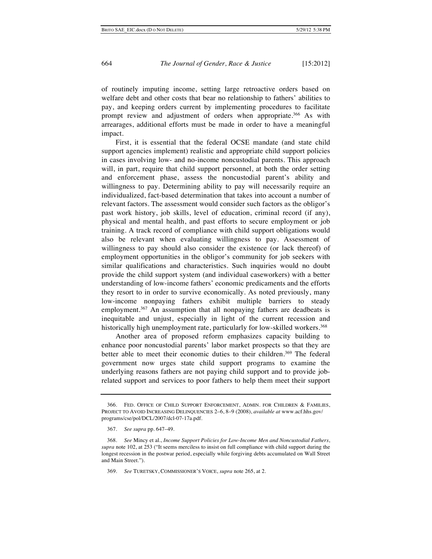of routinely imputing income, setting large retroactive orders based on welfare debt and other costs that bear no relationship to fathers' abilities to pay, and keeping orders current by implementing procedures to facilitate prompt review and adjustment of orders when appropriate.<sup>366</sup> As with arrearages, additional efforts must be made in order to have a meaningful impact.

First, it is essential that the federal OCSE mandate (and state child support agencies implement) realistic and appropriate child support policies in cases involving low- and no-income noncustodial parents. This approach will, in part, require that child support personnel, at both the order setting and enforcement phase, assess the noncustodial parent's ability and willingness to pay. Determining ability to pay will necessarily require an individualized, fact-based determination that takes into account a number of relevant factors. The assessment would consider such factors as the obligor's past work history, job skills, level of education, criminal record (if any), physical and mental health, and past efforts to secure employment or job training. A track record of compliance with child support obligations would also be relevant when evaluating willingness to pay. Assessment of willingness to pay should also consider the existence (or lack thereof) of employment opportunities in the obligor's community for job seekers with similar qualifications and characteristics. Such inquiries would no doubt provide the child support system (and individual caseworkers) with a better understanding of low-income fathers' economic predicaments and the efforts they resort to in order to survive economically. As noted previously, many low-income nonpaying fathers exhibit multiple barriers to steady employment.<sup>367</sup> An assumption that all nonpaying fathers are deadbeats is inequitable and unjust, especially in light of the current recession and historically high unemployment rate, particularly for low-skilled workers.<sup>368</sup>

Another area of proposed reform emphasizes capacity building to enhance poor noncustodial parents' labor market prospects so that they are better able to meet their economic duties to their children.<sup>369</sup> The federal government now urges state child support programs to examine the underlying reasons fathers are not paying child support and to provide jobrelated support and services to poor fathers to help them meet their support

<sup>366.</sup> FED. OFFICE OF CHILD SUPPORT ENFORCEMENT, ADMIN. FOR CHILDREN & FAMILIES, PROJECT TO AVOID INCREASING DELINQUENCIES 2–6, 8–9 (2008), *available at* www.acf.hhs.gov/ programs/cse/pol/DCL/2007/dcl-07-17a.pdf.

<sup>367.</sup> *See supra* pp. 647–49.

<sup>368.</sup> *See* Mincy et al., *Income Support Policies for Low-Income Men and Noncustodial Fathers*, *supra* note 102, at 253 ("It seems merciless to insist on full compliance with child support during the longest recession in the postwar period, especially while forgiving debts accumulated on Wall Street and Main Street.").

<sup>369.</sup> *See* TURETSKY, COMMISSIONER'S VOICE, *supra* note 265, at 2.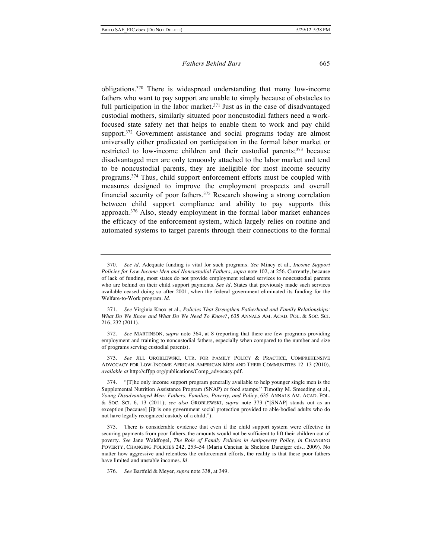obligations.370 There is widespread understanding that many low-income fathers who want to pay support are unable to simply because of obstacles to full participation in the labor market.<sup>371</sup> Just as in the case of disadvantaged custodial mothers, similarly situated poor noncustodial fathers need a workfocused state safety net that helps to enable them to work and pay child support.<sup>372</sup> Government assistance and social programs today are almost universally either predicated on participation in the formal labor market or restricted to low-income children and their custodial parents;<sup>373</sup> because disadvantaged men are only tenuously attached to the labor market and tend to be noncustodial parents, they are ineligible for most income security programs.374 Thus, child support enforcement efforts must be coupled with measures designed to improve the employment prospects and overall financial security of poor fathers.375 Research showing a strong correlation between child support compliance and ability to pay supports this approach.376 Also, steady employment in the formal labor market enhances the efficacy of the enforcement system, which largely relies on routine and automated systems to target parents through their connections to the formal

<sup>370.</sup> *See id.* Adequate funding is vital for such programs. *See* Mincy et al., *Income Support Policies for Low-Income Men and Noncustodial Fathers*, *supra* note 102, at 256. Currently, because of lack of funding, most states do not provide employment related services to noncustodial parents who are behind on their child support payments. *See id.* States that previously made such services available ceased doing so after 2001, when the federal government eliminated its funding for the Welfare-to-Work program. *Id.*

<sup>371.</sup> *See* Virginia Knox et al., *Policies That Strengthen Fatherhood and Family Relationships: What Do We Know and What Do We Need To Know?*, 635 ANNALS AM. ACAD. POL. & SOC. SCI. 216, 232 (2011).

<sup>372.</sup> *See* MARTINSON, *supra* note 364, at 8 (reporting that there are few programs providing employment and training to noncustodial fathers, especially when compared to the number and size of programs serving custodial parents).

<sup>373.</sup> *See* JILL GROBLEWSKI, CTR. FOR FAMILY POLICY & PRACTICE, COMPREHENSIVE ADVOCACY FOR LOW-INCOME AFRICAN-AMERICAN MEN AND THEIR COMMUNITIES 12–13 (2010), *available at* http://cffpp.org/publications/Comp\_advocacy.pdf.

<sup>374.</sup> "[T]he only income support program generally available to help younger single men is the Supplemental Nutrition Assistance Program (SNAP) or food stamps." Timothy M. Smeeding et al., *Young Disadvantaged Men: Fathers, Families, Poverty, and Policy*, 635 ANNALS AM. ACAD. POL. & SOC. SCI. 6, 13 (2011); *see also* GROBLEWSKI, *supra* note 373 ("[SNAP] stands out as an exception [because] [i]t is one government social protection provided to able-bodied adults who do not have legally recognized custody of a child.").

<sup>375.</sup> There is considerable evidence that even if the child support system were effective in securing payments from poor fathers, the amounts would not be sufficient to lift their children out of poverty. *See* Jane Waldfogel, *The Role of Family Policies in Antipoverty Policy*, *in* CHANGING POVERTY, CHANGING POLICIES 242, 253–54 (Maria Cancian & Sheldon Danziger eds., 2009). No matter how aggressive and relentless the enforcement efforts, the reality is that these poor fathers have limited and unstable incomes. *Id.*

<sup>376.</sup> *See* Bartfeld & Meyer, *supra* note 338, at 349.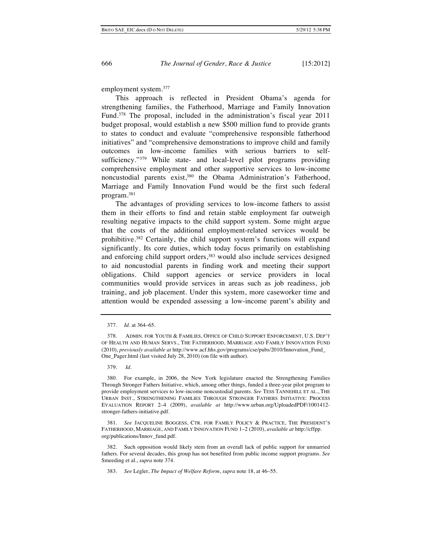employment system.377

This approach is reflected in President Obama's agenda for strengthening families, the Fatherhood, Marriage and Family Innovation Fund.378 The proposal, included in the administration's fiscal year 2011 budget proposal, would establish a new \$500 million fund to provide grants to states to conduct and evaluate "comprehensive responsible fatherhood initiatives" and "comprehensive demonstrations to improve child and family outcomes in low-income families with serious barriers to selfsufficiency."<sup>379</sup> While state- and local-level pilot programs providing comprehensive employment and other supportive services to low-income noncustodial parents exist,<sup>380</sup> the Obama Administration's Fatherhood, Marriage and Family Innovation Fund would be the first such federal program. 381

The advantages of providing services to low-income fathers to assist them in their efforts to find and retain stable employment far outweigh resulting negative impacts to the child support system. Some might argue that the costs of the additional employment-related services would be prohibitive.382 Certainly, the child support system's functions will expand significantly. Its core duties, which today focus primarily on establishing and enforcing child support orders,<sup>383</sup> would also include services designed to aid noncustodial parents in finding work and meeting their support obligations. Child support agencies or service providers in local communities would provide services in areas such as job readiness, job training, and job placement. Under this system, more caseworker time and attention would be expended assessing a low-income parent's ability and

379. *Id.*

380. For example, in 2006, the New York legislature enacted the Strengthening Families Through Stronger Fathers Initiative, which, among other things, funded a three-year pilot program to provide employment services to low-income noncustodial parents. *See* TESS TANNEHILL ET AL., THE URBAN INST., STRENGTHENING FAMILIES THROUGH STRONGER FATHERS INITIATIVE: PROCESS EVALUATION REPORT 2–4 (2009), *available at* http://www.urban.org/UploadedPDF/1001412 stronger-fathers-initiative.pdf.

See JACQUELINE BOGGESS, CTR. FOR FAMILY POLICY & PRACTICE, THE PRESIDENT'S FATHERHOOD, MARRIAGE, AND FAMILY INNOVATION FUND 1–2 (2010), *available at* http://cffpp. org/publications/Innov\_fund.pdf.

382. Such opposition would likely stem from an overall lack of public support for unmarried fathers. For several decades, this group has not benefited from public income support programs. *See* Smeeding et al., *supra* note 374.

383. *See* Legler, *The Impact of Welfare Reform*, *supra* note 18, at 46–55.

<sup>377.</sup> *Id*. at 364–65.

<sup>378.</sup> ADMIN. FOR YOUTH & FAMILIES, OFFICE OF CHILD SUPPORT ENFORCEMENT, U.S. DEP'T OF HEALTH AND HUMAN SERVS., THE FATHERHOOD, MARRIAGE AND FAMILY INNOVATION FUND (2010), *previously available at* http://www.acf.hhs.gov/programs/cse/pubs/2010/Innovation\_Fund\_ One Pager.html (last visited July 28, 2010) (on file with author).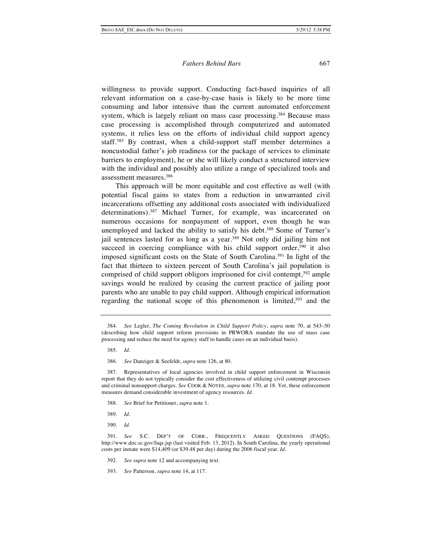willingness to provide support. Conducting fact-based inquiries of all relevant information on a case-by-case basis is likely to be more time consuming and labor intensive than the current automated enforcement system, which is largely reliant on mass case processing.<sup>384</sup> Because mass case processing is accomplished through computerized and automated systems, it relies less on the efforts of individual child support agency staff.385 By contrast, when a child-support staff member determines a noncustodial father's job readiness (or the package of services to eliminate barriers to employment), he or she will likely conduct a structured interview with the individual and possibly also utilize a range of specialized tools and assessment measures.386

This approach will be more equitable and cost effective as well (with potential fiscal gains to states from a reduction in unwarranted civil incarcerations offsetting any additional costs associated with individualized determinations).387 Michael Turner, for example, was incarcerated on numerous occasions for nonpayment of support, even though he was unemployed and lacked the ability to satisfy his debt.<sup>388</sup> Some of Turner's jail sentences lasted for as long as a year.<sup>389</sup> Not only did jailing him not succeed in coercing compliance with his child support order,<sup>390</sup> it also imposed significant costs on the State of South Carolina.391 In light of the fact that thirteen to sixteen percent of South Carolina's jail population is comprised of child support obligors imprisoned for civil contempt,<sup>392</sup> ample savings would be realized by ceasing the current practice of jailing poor parents who are unable to pay child support. Although empirical information regarding the national scope of this phenomenon is limited, $393$  and the

388. *See* Brief for Petitioner, *supra* note 1.

389. *Id.*

390. *Id.*

392. *See supra* note 12 and accompanying text.

<sup>384.</sup> *See* Legler, *The Coming Revolution in Child Support Policy*, *supra* note 70, at 543–50 (describing how child support reform provisions in PRWORA mandate the use of mass case processing and reduce the need for agency staff to handle cases on an individual basis).

<sup>385.</sup> *Id.*

<sup>386.</sup> *See* Danziger & Seefeldt, *supra* note 126, at 80.

<sup>387.</sup> Representatives of local agencies involved in child support enforcement in Wisconsin report that they do not typically consider the cost effectiveness of utilizing civil contempt processes and criminal nonsupport charges. *See* COOK & NOYES, *supra* note 170, at 18. Yet, these enforcement measures demand considerable investment of agency resources. *Id.*

<sup>391.</sup> *See* S.C. DEP'T OF CORR., FREQUENTLY ASKED QUESTIONS (FAQS), http://www.doc.sc.gov/faqs.jsp (last visited Feb. 13, 2012). In South Carolina, the yearly operational costs per inmate were \$14,409 (or \$39.48 per day) during the 2006 fiscal year. *Id*.

<sup>393.</sup> *See* Patterson, *supra* note 14, at 117.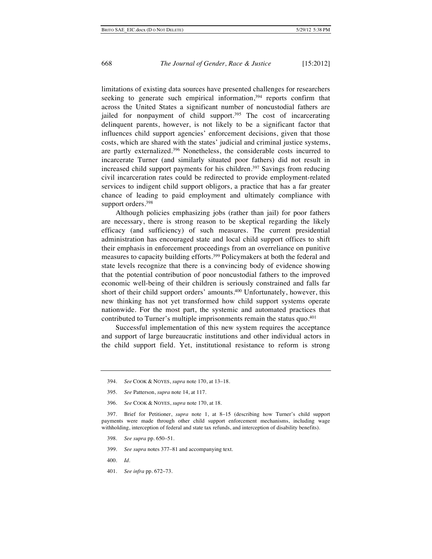limitations of existing data sources have presented challenges for researchers seeking to generate such empirical information,<sup>394</sup> reports confirm that across the United States a significant number of noncustodial fathers are jailed for nonpayment of child support.<sup>395</sup> The cost of incarcerating delinquent parents, however, is not likely to be a significant factor that influences child support agencies' enforcement decisions, given that those costs, which are shared with the states' judicial and criminal justice systems, are partly externalized.396 Nonetheless, the considerable costs incurred to incarcerate Turner (and similarly situated poor fathers) did not result in increased child support payments for his children.<sup>397</sup> Savings from reducing civil incarceration rates could be redirected to provide employment-related services to indigent child support obligors, a practice that has a far greater chance of leading to paid employment and ultimately compliance with support orders.<sup>398</sup>

Although policies emphasizing jobs (rather than jail) for poor fathers are necessary, there is strong reason to be skeptical regarding the likely efficacy (and sufficiency) of such measures. The current presidential administration has encouraged state and local child support offices to shift their emphasis in enforcement proceedings from an overreliance on punitive measures to capacity building efforts.399 Policymakers at both the federal and state levels recognize that there is a convincing body of evidence showing that the potential contribution of poor noncustodial fathers to the improved economic well-being of their children is seriously constrained and falls far short of their child support orders' amounts.400 Unfortunately, however, this new thinking has not yet transformed how child support systems operate nationwide. For the most part, the systemic and automated practices that contributed to Turner's multiple imprisonments remain the status quo.<sup>401</sup>

Successful implementation of this new system requires the acceptance and support of large bureaucratic institutions and other individual actors in the child support field. Yet, institutional resistance to reform is strong

- 398. *See supra* pp. 650–51.
- 399. *See supra* notes 377–81 and accompanying text.
- 400. *Id.*
- 401. *See infra* pp. 672–73.

<sup>394.</sup> *See* COOK & NOYES, *supra* note 170, at 13–18.

<sup>395.</sup> *See* Patterson, *supra* note 14, at 117.

<sup>396.</sup> *See* COOK & NOYES, *supra* note 170, at 18.

<sup>397.</sup> Brief for Petitioner, *supra* note 1, at 8–15 (describing how Turner's child support payments were made through other child support enforcement mechanisms, including wage withholding, interception of federal and state tax refunds, and interception of disability benefits).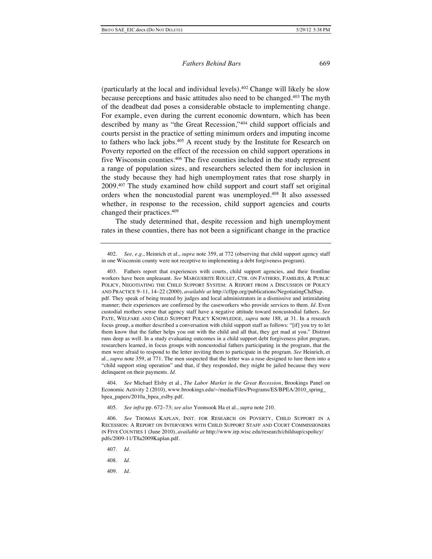(particularly at the local and individual levels).402 Change will likely be slow because perceptions and basic attitudes also need to be changed.403 The myth of the deadbeat dad poses a considerable obstacle to implementing change. For example, even during the current economic downturn, which has been described by many as "the Great Recession,"404 child support officials and courts persist in the practice of setting minimum orders and imputing income to fathers who lack jobs.<sup>405</sup> A recent study by the Institute for Research on Poverty reported on the effect of the recession on child support operations in five Wisconsin counties.406 The five counties included in the study represent a range of population sizes, and researchers selected them for inclusion in the study because they had high unemployment rates that rose sharply in 2009.407 The study examined how child support and court staff set original orders when the noncustodial parent was unemployed.408 It also assessed whether, in response to the recession, child support agencies and courts changed their practices.409

The study determined that, despite recession and high unemployment rates in these counties, there has not been a significant change in the practice

404. *See* Michael Elsby et al., *The Labor Market in the Great Recession*, Brookings Panel on Economic Activity 2 (2010), www.brookings.edu/~/media/Files/Programs/ES/BPEA/2010\_spring bpea\_papers/2010a\_bpea\_eslby.pdf.

405. *See infra* pp. 672–73; *see also* Yoonsook Ha et al., *supra* note 210.

406. *See* THOMAS KAPLAN, INST. FOR RESEARCH ON POVERTY, CHILD SUPPORT IN A RECESSION: A REPORT ON INTERVIEWS WITH CHILD SUPPORT STAFF AND COURT COMMISSIONERS IN FIVE COUNTIES 1 (June 2010), *available at* http://www.irp.wisc.edu/research/childsup/cspolicy/ pdfs/2009-11/T8a2009Kaplan.pdf.

407. *Id*.

408. *Id.*

409. *Id.*

<sup>402.</sup> *See, e.g.*, Heinrich et al., *supra* note 359, at 772 (observing that child support agency staff in one Wisconsin county were not receptive to implementing a debt forgiveness program).

<sup>403.</sup> Fathers report that experiences with courts, child support agencies, and their frontline workers have been unpleasant. *See* MARGUERITE ROULET, CTR. ON FATHERS, FAMILIES, & PUBLIC POLICY, NEGOTIATING THE CHILD SUPPORT SYSTEM: A REPORT FROM A DISCUSSION OF POLICY AND PRACTICE 9–11, 14–22 (2000), *available at* http://cffpp.org/publications/NegotiatingChdSup. pdf. They speak of being treated by judges and local administrators in a dismissive and intimidating manner; their experiences are confirmed by the caseworkers who provide services to them. *Id.* Even custodial mothers sense that agency staff have a negative attitude toward noncustodial fathers. *See* PATE, WELFARE AND CHILD SUPPORT POLICY KNOWLEDGE, *supra* note 188, at 31. In a research focus group, a mother described a conversation with child support staff as follows: "[if] you try to let them know that the father helps you out with the child and all that, they get mad at you." Distrust runs deep as well. In a study evaluating outcomes in a child support debt forgiveness pilot program, researchers learned, in focus groups with noncustodial fathers participating in the program, that the men were afraid to respond to the letter inviting them to participate in the program. *See* Heinrich, et al., *supra* note 359, at 771. The men suspected that the letter was a ruse designed to lure them into a "child support sting operation" and that, if they responded, they might be jailed because they were delinquent on their payments. *Id.*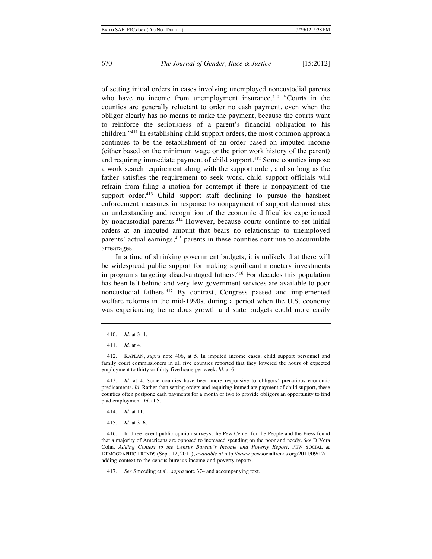of setting initial orders in cases involving unemployed noncustodial parents who have no income from unemployment insurance.<sup>410</sup> "Courts in the counties are generally reluctant to order no cash payment, even when the obligor clearly has no means to make the payment, because the courts want to reinforce the seriousness of a parent's financial obligation to his children."411 In establishing child support orders, the most common approach continues to be the establishment of an order based on imputed income (either based on the minimum wage or the prior work history of the parent) and requiring immediate payment of child support.<sup>412</sup> Some counties impose a work search requirement along with the support order, and so long as the father satisfies the requirement to seek work, child support officials will refrain from filing a motion for contempt if there is nonpayment of the support order. $413$  Child support staff declining to pursue the harshest enforcement measures in response to nonpayment of support demonstrates an understanding and recognition of the economic difficulties experienced by noncustodial parents.414 However, because courts continue to set initial orders at an imputed amount that bears no relationship to unemployed parents' actual earnings,<sup>415</sup> parents in these counties continue to accumulate arrearages.

In a time of shrinking government budgets, it is unlikely that there will be widespread public support for making significant monetary investments in programs targeting disadvantaged fathers.<sup>416</sup> For decades this population has been left behind and very few government services are available to poor noncustodial fathers.417 By contrast, Congress passed and implemented welfare reforms in the mid-1990s, during a period when the U.S. economy was experiencing tremendous growth and state budgets could more easily

- 414. *Id*. at 11.
- 415. *Id.* at 3–6.

417. *See* Smeeding et al., *supra* note 374 and accompanying text.

<sup>410.</sup> *Id.* at 3–4.

<sup>411.</sup> *Id.* at 4.

<sup>412.</sup> KAPLAN, *supra* note 406, at 5. In imputed income cases, child support personnel and family court commissioners in all five counties reported that they lowered the hours of expected employment to thirty or thirty-five hours per week. *Id.* at 6.

<sup>413.</sup> *Id.* at 4. Some counties have been more responsive to obligors' precarious economic predicaments. *Id.* Rather than setting orders and requiring immediate payment of child support, these counties often postpone cash payments for a month or two to provide obligors an opportunity to find paid employment. *Id.* at 5.

<sup>416.</sup> In three recent public opinion surveys, the Pew Center for the People and the Press found that a majority of Americans are opposed to increased spending on the poor and needy. *See* D'Vera Cohn, *Adding Context to the Census Bureau's Income and Poverty Report*, PEW SOCIAL & DEMOGRAPHIC TRENDS (Sept. 12, 2011), *available at* http://www.pewsocialtrends.org/2011/09/12/ adding-context-to-the-census-bureaus-income-and-poverty-report/.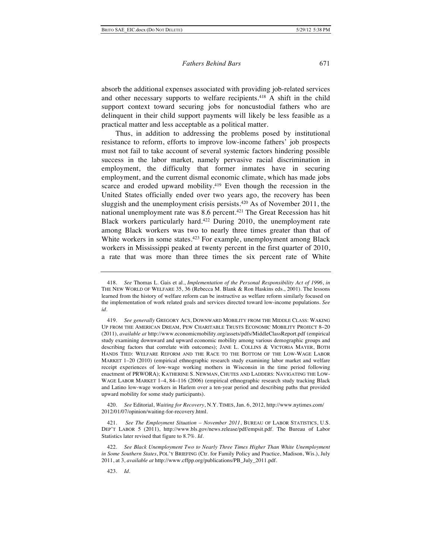absorb the additional expenses associated with providing job-related services and other necessary supports to welfare recipients.<sup>418</sup> A shift in the child support context toward securing jobs for noncustodial fathers who are delinquent in their child support payments will likely be less feasible as a practical matter and less acceptable as a political matter.

Thus, in addition to addressing the problems posed by institutional resistance to reform, efforts to improve low-income fathers' job prospects must not fail to take account of several systemic factors hindering possible success in the labor market, namely pervasive racial discrimination in employment, the difficulty that former inmates have in securing employment, and the current dismal economic climate, which has made jobs scarce and eroded upward mobility.<sup>419</sup> Even though the recession in the United States officially ended over two years ago, the recovery has been sluggish and the unemployment crisis persists.420 As of November 2011, the national unemployment rate was 8.6 percent.<sup>421</sup> The Great Recession has hit Black workers particularly hard.422 During 2010, the unemployment rate among Black workers was two to nearly three times greater than that of White workers in some states.<sup>423</sup> For example, unemployment among Black workers in Mississippi peaked at twenty percent in the first quarter of 2010, a rate that was more than three times the six percent rate of White

420. *See* Editorial, *Waiting for Recovery*, N.Y. TIMES, Jan. 6, 2012, http://www.nytimes.com/ 2012/01/07/opinion/waiting-for-recovery.html.

See The Employment Situation - November 2011, BUREAU OF LABOR STATISTICS, U.S. DEP'T LABOR 5 (2011), http://www.bls.gov/news.release/pdf/empsit.pdf. The Bureau of Labor Statistics later revised that figure to 8.7%. *Id.*

<sup>418.</sup> *See* Thomas L. Gais et al*.*, *Implementation of the Personal Responsibility Act of 1996*, *in* THE NEW WORLD OF WELFARE 35, 36 (Rebecca M. Blank & Ron Haskins eds., 2001). The lessons learned from the history of welfare reform can be instructive as welfare reform similarly focused on the implementation of work related goals and services directed toward low-income populations. *See id*.

<sup>419.</sup> *See generally* GREGORY ACS, DOWNWARD MOBILITY FROM THE MIDDLE CLASS: WAKING UP FROM THE AMERICAN DREAM, PEW CHARITABLE TRUSTS ECONOMIC MOBILITY PROJECT 8–20 (2011), *available at* http://www.economicmobility.org/assets/pdfs/MiddleClassReport.pdf (empirical study examining downward and upward economic mobility among various demographic groups and describing factors that correlate with outcomes); JANE L. COLLINS & VICTORIA MAYER, BOTH HANDS TIED: WELFARE REFORM AND THE RACE TO THE BOTTOM OF THE LOW-WAGE LABOR MARKET 1–20 (2010) (empirical ethnographic research study examining labor market and welfare receipt experiences of low-wage working mothers in Wisconsin in the time period following enactment of PRWORA); KATHERINE S. NEWMAN, CHUTES AND LADDERS: NAVIGATING THE LOW-WAGE LABOR MARKET 1–4, 84–116 (2006) (empirical ethnographic research study tracking Black and Latino low-wage workers in Harlem over a ten-year period and describing paths that provided upward mobility for some study participants).

<sup>422.</sup> *See Black Unemployment Two to Nearly Three Times Higher Than White Unemployment in Some Southern States*, POL'Y BRIEFING (Ctr. for Family Policy and Practice, Madison, Wis.), July 2011, at 3, *available at* http://www.cffpp.org/publications/PB\_July\_2011.pdf.

<sup>423.</sup> *Id.*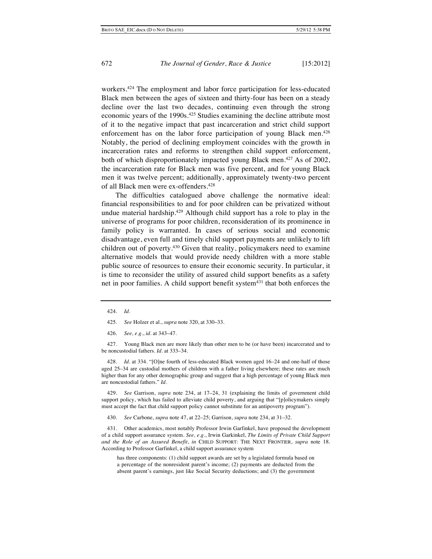workers.424 The employment and labor force participation for less-educated Black men between the ages of sixteen and thirty-four has been on a steady decline over the last two decades, continuing even through the strong economic years of the 1990s.<sup>425</sup> Studies examining the decline attribute most of it to the negative impact that past incarceration and strict child support enforcement has on the labor force participation of young Black men.<sup>426</sup> Notably, the period of declining employment coincides with the growth in incarceration rates and reforms to strengthen child support enforcement, both of which disproportionately impacted young Black men.427 As of 2002, the incarceration rate for Black men was five percent, and for young Black men it was twelve percent; additionally, approximately twenty-two percent of all Black men were ex-offenders.428

The difficulties catalogued above challenge the normative ideal: financial responsibilities to and for poor children can be privatized without undue material hardship.<sup>429</sup> Although child support has a role to play in the universe of programs for poor children, reconsideration of its prominence in family policy is warranted. In cases of serious social and economic disadvantage, even full and timely child support payments are unlikely to lift children out of poverty.<sup>430</sup> Given that reality, policymakers need to examine alternative models that would provide needy children with a more stable public source of resources to ensure their economic security. In particular, it is time to reconsider the utility of assured child support benefits as a safety net in poor families. A child support benefit system<sup>431</sup> that both enforces the

427. Young Black men are more likely than other men to be (or have been) incarcerated and to be noncustodial fathers. *Id.* at 333–34.

428. *Id.* at 334. "[O]ne fourth of less-educated Black women aged 16–24 and one-half of those aged 25–34 are custodial mothers of children with a father living elsewhere; these rates are much higher than for any other demographic group and suggest that a high percentage of young Black men are noncustodial fathers." *Id.*

429. *See* Garrison, *supra* note 234, at 17–24, 31 (explaining the limits of government child support policy, which has failed to alleviate child poverty, and arguing that "[p]olicymakers simply must accept the fact that child support policy cannot substitute for an antipoverty program").

430. *See* Carbone, *supra* note 47, at 22–25; Garrison, *supra* note 234, at 31–32.

431. Other academics, most notably Professor Irwin Garfinkel, have proposed the development of a child support assurance system. *See, e.g.*, Irwin Garkinkel, *The Limits of Private Child Support and the Role of an Assured Benefit*, *in* CHILD SUPPORT: THE NEXT FRONTIER, *supra* note 18. According to Professor Garfinkel, a child support assurance system

has three components: (1) child support awards are set by a legislated formula based on a percentage of the nonresident parent's income; (2) payments are deducted from the absent parent's earnings, just like Social Security deductions; and (3) the government

<sup>424.</sup> *Id.*

<sup>425.</sup> *See* Holzer et al., *supra* note 320, at 330–33.

<sup>426.</sup> *See, e.g.*, *id.* at 343–47.